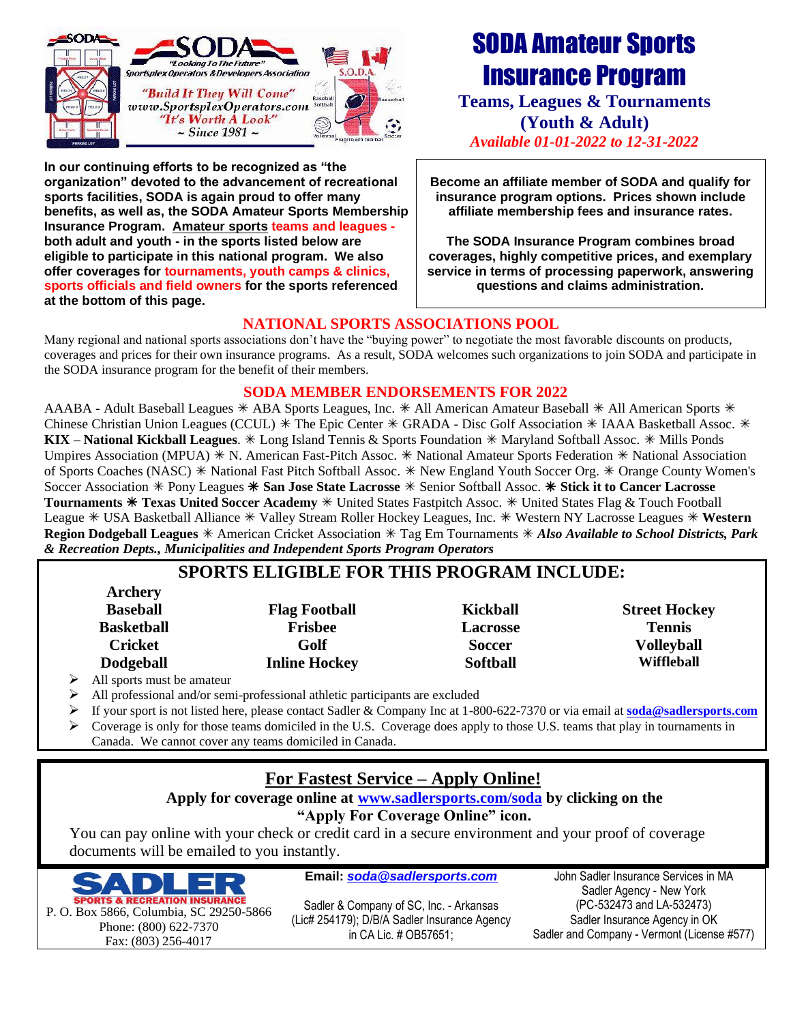

**In our continuing efforts to be recognized as "the organization" devoted to the advancement of recreational sports facilities, SODA is again proud to offer many benefits, as well as, the SODA Amateur Sports Membership Insurance Program. Amateur sports teams and leagues both adult and youth - in the sports listed below are eligible to participate in this national program. We also offer coverages for tournaments, youth camps & clinics, sports officials and field owners for the sports referenced at the bottom of this page.**

# SODA Amateur Sports Insurance Program

**Teams, Leagues & Tournaments (Youth & Adult)** *Available 01-01-2022 to 12-31-2022*

**Become an affiliate member of SODA and qualify for insurance program options. Prices shown include affiliate membership fees and insurance rates.** 

**The SODA Insurance Program combines broad coverages, highly competitive prices, and exemplary service in terms of processing paperwork, answering questions and claims administration.** 

#### **NATIONAL SPORTS ASSOCIATIONS POOL**

Many regional and national sports associations don't have the "buying power" to negotiate the most favorable discounts on products, coverages and prices for their own insurance programs. As a result, SODA welcomes such organizations to join SODA and participate in the SODA insurance program for the benefit of their members.

#### **SODA MEMBER ENDORSEMENTS FOR 2022**

AAABA - Adult Baseball Leagues  $*$  ABA Sports Leagues, Inc.  $*$  All American Amateur Baseball  $*$  All American Sports  $*$ Chinese Christian Union Leagues (CCUL)  $*$  The Epic Center  $*$  GRADA - Disc Golf Association  $*$  IAAA Basketball Assoc.  $*$ KIX – **National Kickball Leagues**. \* Long Island Tennis & Sports Foundation \* Maryland Softball Assoc. \* Mills Ponds Umpires Association (MPUA)  $*$  N. American Fast-Pitch Assoc.  $*$  National Amateur Sports Federation  $*$  National Association of Sports Coaches (NASC)  $*$  National Fast Pitch Softball Assoc.  $*$  New England Youth Soccer Org.  $*$  Orange County Women's Soccer Association  $*$  Pony Leagues  $*$  San Jose State Lacrosse  $*$  Senior Softball Assoc.  $*$  Stick it to Cancer Lacrosse **Tournaments Texas United Soccer Academy** United States Fastpitch Assoc. United States Flag & Touch Football League  $*$  USA Basketball Alliance  $*$  Valley Stream Roller Hockey Leagues, Inc.  $*$  Western NY Lacrosse Leagues  $*$  Western **Region Dodgeball Leagues**  $*$  American Cricket Association  $*$  Tag Em Tournaments  $*$  Also Available to School Districts, Park *& Recreation Depts., Municipalities and Independent Sports Program Operators*

## **SPORTS ELIGIBLE FOR THIS PROGRAM INCLUDE:**

| $\mathbf{1}$ and $\mathbf{1}$                            |                      |                 |                      |
|----------------------------------------------------------|----------------------|-----------------|----------------------|
| <b>Baseball</b>                                          | <b>Flag Football</b> | Kickball        | <b>Street Hockey</b> |
| <b>Basketball</b>                                        | <b>Frisbee</b>       | <b>Lacrosse</b> | <b>Tennis</b>        |
| <b>Cricket</b>                                           | Golf                 | <b>Soccer</b>   | Volleyball           |
| <b>Dodgeball</b>                                         | <b>Inline Hockey</b> | <b>Softball</b> | Wiffleball           |
| $\sim$ <b>All</b> and a set of <b>1</b> and a set $\sim$ |                      |                 |                      |

➢ All sports must be amateur

**Archery**

➢ All professional and/or semi-professional athletic participants are excluded

- ➢ If your sport is not listed here, please contact Sadler & Company Inc at 1-800-622-7370 or via email at **[soda@sadlersports.com](mailto:soda@sadlersports.com)**
- ➢ Coverage is only for those teams domiciled in the U.S. Coverage does apply to those U.S. teams that play in tournaments in Canada. We cannot cover any teams domiciled in Canada.

## **For Fastest Service – Apply Online!**

#### **Apply for coverage online at [www.sadlersports.com/soda](http://www.sadlersports.com/soda) by clicking on the "Apply For Coverage Online" icon.**

You can pay online with your check or credit card in a secure environment and your proof of coverage documents will be emailed to you instantly.



**Email:** *[soda@sadlersports.com](mailto:soda@sadlersports.com)*

Sadler & Company of SC, Inc. - Arkansas (Lic# 254179); D/B/A Sadler Insurance Agency in CA Lic. # OB57651;

John Sadler Insurance Services in MA Sadler Agency - New York (PC-532473 and LA-532473) Sadler Insurance Agency in OK Sadler and Company - Vermont (License #577)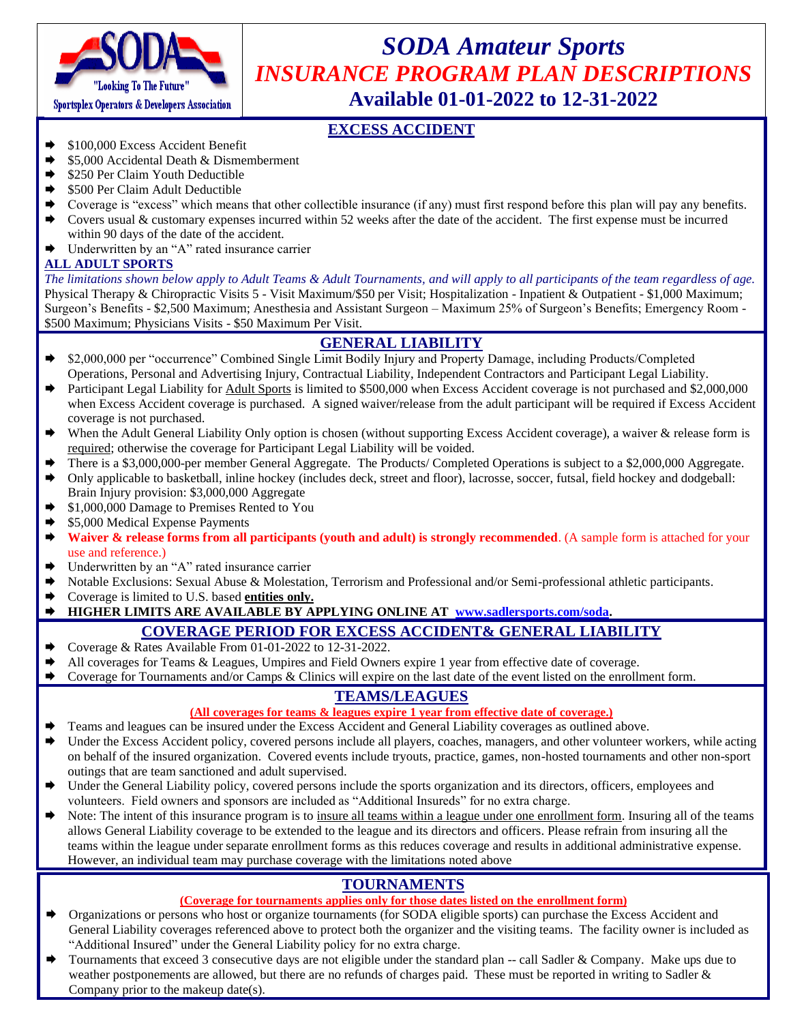

## *SODA Amateur Sports INSURANCE PROGRAM PLAN DESCRIPTIONS* **Available 01-01-2022 to 12-31-2022**

#### **EXCESS ACCIDENT**

- $\rightarrow$  \$100,000 Excess Accident Benefit
- \$5,000 Accidental Death & Dismemberment
- \$250 Per Claim Youth Deductible
- \$500 Per Claim Adult Deductible
- Coverage is "excess" which means that other collectible insurance (if any) must first respond before this plan will pay any benefits.
- $\blacktriangleright$  Covers usual & customary expenses incurred within 52 weeks after the date of the accident. The first expense must be incurred within 90 days of the date of the accident.
- Underwritten by an "A" rated insurance carrier

#### **ALL ADULT SPORTS**

*The limitations shown below apply to Adult Teams & Adult Tournaments, and will apply to all participants of the team regardless of age.* Physical Therapy & Chiropractic Visits 5 - Visit Maximum/\$50 per Visit; Hospitalization - Inpatient & Outpatient - \$1,000 Maximum; Surgeon's Benefits - \$2,500 Maximum; Anesthesia and Assistant Surgeon – Maximum 25% of Surgeon's Benefits; Emergency Room - \$500 Maximum; Physicians Visits - \$50 Maximum Per Visit.

#### **GENERAL LIABILITY**

- \$2,000,000 per "occurrence" Combined Single Limit Bodily Injury and Property Damage, including Products/Completed Operations, Personal and Advertising Injury, Contractual Liability, Independent Contractors and Participant Legal Liability.
- Participant Legal Liability for Adult Sports is limited to \$500,000 when Excess Accident coverage is not purchased and \$2,000,000 when Excess Accident coverage is purchased. A signed waiver/release from the adult participant will be required if Excess Accident coverage is not purchased.
- When the Adult General Liability Only option is chosen (without supporting Excess Accident coverage), a waiver & release form is required; otherwise the coverage for Participant Legal Liability will be voided.
- There is a \$3,000,000-per member General Aggregate. The Products/ Completed Operations is subject to a \$2,000,000 Aggregate.
- Only applicable to basketball, inline hockey (includes deck, street and floor), lacrosse, soccer, futsal, field hockey and dodgeball: Brain Injury provision: \$3,000,000 Aggregate
- \$1,000,000 Damage to Premises Rented to You
- \$5,000 Medical Expense Payments
- Waiver & release forms from all participants (youth and adult) is strongly recommended. (A sample form is attached for your use and reference.)
- Underwritten by an "A" rated insurance carrier
- ◆ Notable Exclusions: Sexual Abuse & Molestation, Terrorism and Professional and/or Semi-professional athletic participants.
- Coverage is limited to U.S. based **entities only.**

#### **HIGHER LIMITS ARE AVAILABLE BY APPLYING ONLINE AT [www.sadlersports.com/soda.](http://www.sadlersports.com/soda)**

#### **COVERAGE PERIOD FOR EXCESS ACCIDENT& GENERAL LIABILITY**

- ◆ Coverage & Rates Available From 01-01-2022 to 12-31-2022.
- $\blacktriangleright$  All coverages for Teams & Leagues, Umpires and Field Owners expire 1 year from effective date of coverage.
- ◆ Coverage for Tournaments and/or Camps & Clinics will expire on the last date of the event listed on the enrollment form.

#### **TEAMS/LEAGUES**

#### **(All coverages for teams & leagues expire 1 year from effective date of coverage.)**

- Teams and leagues can be insured under the Excess Accident and General Liability coverages as outlined above.
- Under the Excess Accident policy, covered persons include all players, coaches, managers, and other volunteer workers, while acting on behalf of the insured organization. Covered events include tryouts, practice, games, non-hosted tournaments and other non-sport outings that are team sanctioned and adult supervised.
- Under the General Liability policy, covered persons include the sports organization and its directors, officers, employees and volunteers. Field owners and sponsors are included as "Additional Insureds" for no extra charge.
- Note: The intent of this insurance program is to insure all teams within a league under one enrollment form. Insuring all of the teams allows General Liability coverage to be extended to the league and its directors and officers. Please refrain from insuring all the teams within the league under separate enrollment forms as this reduces coverage and results in additional administrative expense. However, an individual team may purchase coverage with the limitations noted above

#### **TOURNAMENTS**

#### **(Coverage for tournaments applies only for those dates listed on the enrollment form)**

- Organizations or persons who host or organize tournaments (for SODA eligible sports) can purchase the Excess Accident and General Liability coverages referenced above to protect both the organizer and the visiting teams. The facility owner is included as "Additional Insured" under the General Liability policy for no extra charge.
- Tournaments that exceed 3 consecutive days are not eligible under the standard plan -- call Sadler & Company. Make ups due to weather postponements are allowed, but there are no refunds of charges paid. These must be reported in writing to Sadler  $\&$ Company prior to the makeup date(s).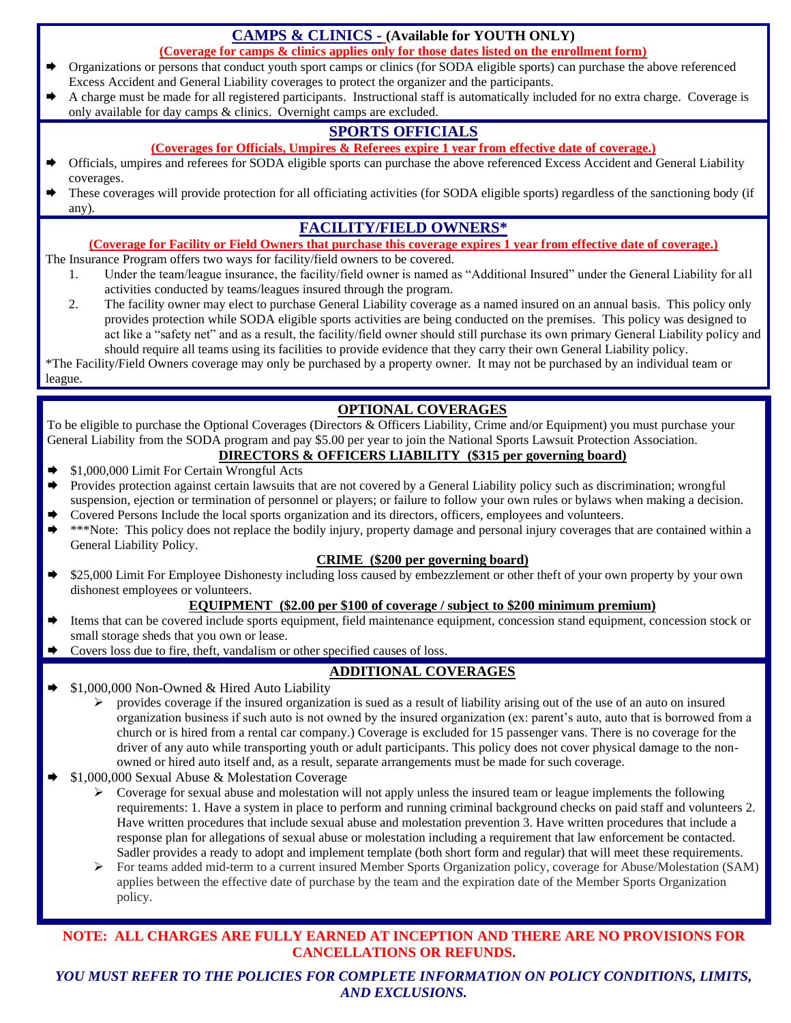#### **CAMPS & CLINICS - (Available for YOUTH ONLY)**

**(Coverage for camps & clinics applies only for those dates listed on the enrollment form)**

- Organizations or persons that conduct youth sport camps or clinics (for SODA eligible sports) can purchase the above referenced Excess Accident and General Liability coverages to protect the organizer and the participants.
- A charge must be made for all registered participants. Instructional staff is automatically included for no extra charge. Coverage is only available for day camps & clinics. Overnight camps are excluded.

### **SPORTS OFFICIALS**

- **(Coverages for Officials, Umpires & Referees expire 1 year from effective date of coverage.)**
- Officials, umpires and referees for SODA eligible sports can purchase the above referenced Excess Accident and General Liability coverages.
- These coverages will provide protection for all officiating activities (for SODA eligible sports) regardless of the sanctioning body (if any).

#### **FACILITY/FIELD OWNERS\***

#### **(Coverage for Facility or Field Owners that purchase this coverage expires 1 year from effective date of coverage.)**

The Insurance Program offers two ways for facility/field owners to be covered.

- 1. Under the team/league insurance, the facility/field owner is named as "Additional Insured" under the General Liability for all activities conducted by teams/leagues insured through the program.
- 2. The facility owner may elect to purchase General Liability coverage as a named insured on an annual basis. This policy only provides protection while SODA eligible sports activities are being conducted on the premises. This policy was designed to act like a "safety net" and as a result, the facility/field owner should still purchase its own primary General Liability policy and should require all teams using its facilities to provide evidence that they carry their own General Liability policy.

\*The Facility/Field Owners coverage may only be purchased by a property owner. It may not be purchased by an individual team or league.

#### **OPTIONAL COVERAGES**

To be eligible to purchase the Optional Coverages (Directors & Officers Liability, Crime and/or Equipment) you must purchase your General Liability from the SODA program and pay \$5.00 per year to join the National Sports Lawsuit Protection Association.

#### **DIRECTORS & OFFICERS LIABILITY (\$315 per governing board)**

- \$1,000,000 Limit For Certain Wrongful Acts
- Provides protection against certain lawsuits that are not covered by a General Liability policy such as discrimination; wrongful suspension, ejection or termination of personnel or players; or failure to follow your own rules or bylaws when making a decision.
- Covered Persons Include the local sports organization and its directors, officers, employees and volunteers.
- \*\*\*Note: This policy does not replace the bodily injury, property damage and personal injury coverages that are contained within a General Liability Policy.

#### **CRIME (\$200 per governing board)**

 \$25,000 Limit For Employee Dishonesty including loss caused by embezzlement or other theft of your own property by your own dishonest employees or volunteers.

#### **EQUIPMENT (\$2.00 per \$100 of coverage / subject to \$200 minimum premium)**

- Items that can be covered include sports equipment, field maintenance equipment, concession stand equipment, concession stock or small storage sheds that you own or lease.
- $\blacktriangleright$  Covers loss due to fire, theft, vandalism or other specified causes of loss.

#### **ADDITIONAL COVERAGES**

- $\blacktriangleright$  \$1,000,000 Non-Owned & Hired Auto Liability
	- $\triangleright$  provides coverage if the insured organization is sued as a result of liability arising out of the use of an auto on insured organization business if such auto is not owned by the insured organization (ex: parent's auto, auto that is borrowed from a church or is hired from a rental car company.) Coverage is excluded for 15 passenger vans. There is no coverage for the driver of any auto while transporting youth or adult participants. This policy does not cover physical damage to the nonowned or hired auto itself and, as a result, separate arrangements must be made for such coverage.
- \$1,000,000 Sexual Abuse & Molestation Coverage
	- $\triangleright$  Coverage for sexual abuse and molestation will not apply unless the insured team or league implements the following requirements: 1. Have a system in place to perform and running criminal background checks on paid staff and volunteers 2. Have written procedures that include sexual abuse and molestation prevention 3. Have written procedures that include a response plan for allegations of sexual abuse or molestation including a requirement that law enforcement be contacted. Sadler provides a ready to adopt and implement template (both short form and regular) that will meet these requirements.
	- ➢ For teams added mid-term to a current insured Member Sports Organization policy, coverage for Abuse/Molestation (SAM) applies between the effective date of purchase by the team and the expiration date of the Member Sports Organization policy.

#### **NOTE: ALL CHARGES ARE FULLY EARNED AT INCEPTION AND THERE ARE NO PROVISIONS FOR CANCELLATIONS OR REFUNDS.**

*YOU MUST REFER TO THE POLICIES FOR COMPLETE INFORMATION ON POLICY CONDITIONS, LIMITS, AND EXCLUSIONS.*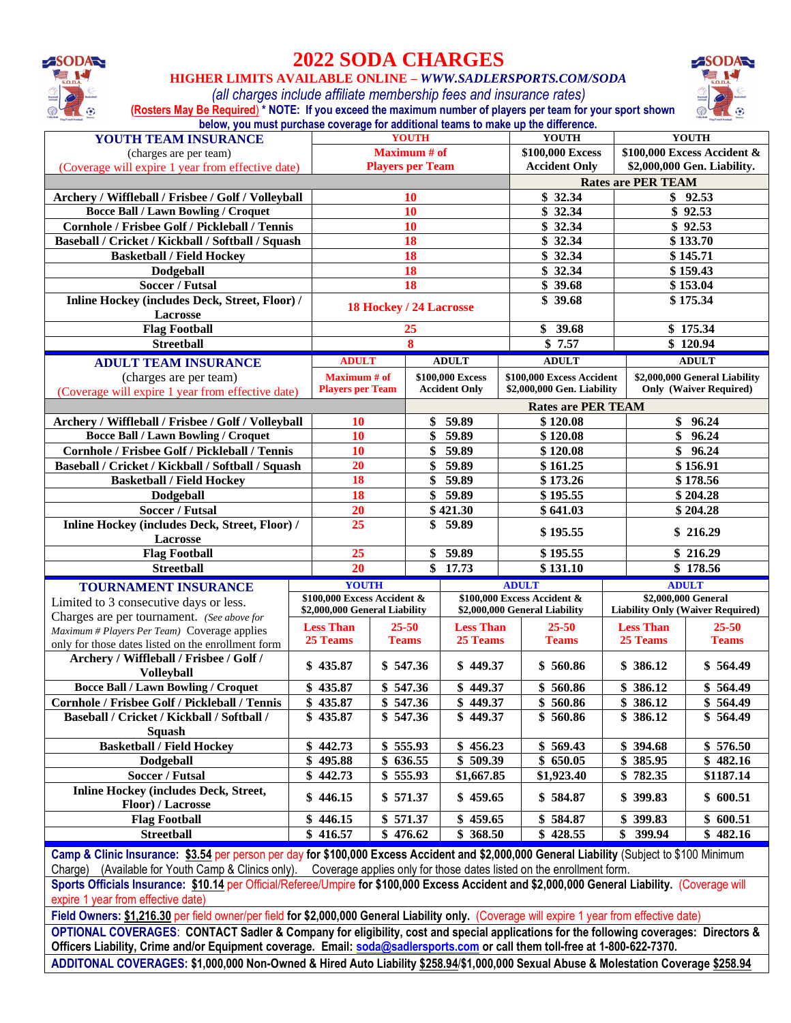

## **2022 SODA CHARGES**

**HIGHER LIMITS AVAILABLE ONLINE –** *WWW.SADLERSPORTS.COM/SODA*

*(all charges include affiliate membership fees and insurance rates)*

**SODAR** 

| (Rosters May Be Required) * NOTE: If you exceed the maximum number of players per team for your sport shown |  |  |
|-------------------------------------------------------------------------------------------------------------|--|--|
| below, you must purchase coverage for additional teams to make up the difference.                           |  |  |

| YOUTH TEAM INSURANCE                                                                                                                                                                                                                                                       |    |                               |              | <b>YOUTH</b>            |                         | <b>YOUTH</b>                  |  |                           | <b>YOUTH</b>                            |  |
|----------------------------------------------------------------------------------------------------------------------------------------------------------------------------------------------------------------------------------------------------------------------------|----|-------------------------------|--------------|-------------------------|-------------------------|-------------------------------|--|---------------------------|-----------------------------------------|--|
| (charges are per team)                                                                                                                                                                                                                                                     |    |                               |              | <b>Maximum</b> # of     |                         | \$100,000 Excess              |  |                           | \$100,000 Excess Accident &             |  |
| (Coverage will expire 1 year from effective date)                                                                                                                                                                                                                          |    |                               |              | <b>Players per Team</b> |                         | <b>Accident Only</b>          |  |                           | \$2,000,000 Gen. Liability.             |  |
|                                                                                                                                                                                                                                                                            |    |                               |              |                         |                         |                               |  | <b>Rates are PER TEAM</b> |                                         |  |
| Archery / Wiffleball / Frisbee / Golf / Volleyball                                                                                                                                                                                                                         |    |                               |              | <b>10</b>               |                         | \$32.34                       |  |                           | \$92.53                                 |  |
| <b>Bocce Ball / Lawn Bowling / Croquet</b>                                                                                                                                                                                                                                 |    |                               |              | 10                      |                         | $\overline{\$}$ 32.34         |  |                           | $\sqrt{8}$ 92.53                        |  |
| Cornhole / Frisbee Golf / Pickleball / Tennis                                                                                                                                                                                                                              |    |                               |              | 10                      |                         | \$32.34                       |  |                           | \$92.53                                 |  |
| Baseball / Cricket / Kickball / Softball / Squash                                                                                                                                                                                                                          |    |                               |              | 18                      |                         | \$32.34                       |  |                           | \$133.70                                |  |
| <b>Basketball / Field Hockey</b>                                                                                                                                                                                                                                           |    |                               |              | 18                      |                         | \$32.34                       |  |                           | \$145.71                                |  |
| Dodgeball                                                                                                                                                                                                                                                                  |    |                               |              | 18                      |                         | \$32.34                       |  |                           | \$159.43                                |  |
| <b>Soccer / Futsal</b>                                                                                                                                                                                                                                                     |    |                               |              | 18                      |                         | \$39.68                       |  |                           | \$153.04                                |  |
| Inline Hockey (includes Deck, Street, Floor) /                                                                                                                                                                                                                             |    |                               |              |                         | 18 Hockey / 24 Lacrosse | \$39.68                       |  |                           | \$175.34                                |  |
| Lacrosse                                                                                                                                                                                                                                                                   |    |                               |              |                         |                         |                               |  |                           |                                         |  |
| <b>Flag Football</b>                                                                                                                                                                                                                                                       |    |                               |              | 25                      |                         | \$39.68                       |  |                           | \$175.34                                |  |
| <b>Streetball</b>                                                                                                                                                                                                                                                          |    |                               |              | 8                       |                         | \$7.57                        |  |                           | \$120.94                                |  |
| <b>ADULT TEAM INSURANCE</b>                                                                                                                                                                                                                                                |    | <b>ADULT</b>                  |              |                         | <b>ADULT</b>            | <b>ADULT</b>                  |  |                           | <b>ADULT</b>                            |  |
| (charges are per team)                                                                                                                                                                                                                                                     |    | <b>Maximum</b> # of           |              |                         | \$100,000 Excess        | \$100,000 Excess Accident     |  |                           | \$2,000,000 General Liability           |  |
| (Coverage will expire 1 year from effective date)                                                                                                                                                                                                                          |    | <b>Players per Team</b>       |              |                         | <b>Accident Only</b>    | \$2,000,000 Gen. Liability    |  |                           | <b>Only (Waiver Required)</b>           |  |
|                                                                                                                                                                                                                                                                            |    |                               |              |                         |                         | <b>Rates are PER TEAM</b>     |  |                           |                                         |  |
| Archery / Wiffleball / Frisbee / Golf / Volleyball                                                                                                                                                                                                                         |    | <b>10</b>                     |              |                         | \$59.89                 | \$120.08                      |  |                           | \$96.24                                 |  |
| <b>Bocce Ball / Lawn Bowling / Croquet</b>                                                                                                                                                                                                                                 |    | 10                            |              | \$                      | 59.89                   | \$120.08                      |  | \$                        | 96.24                                   |  |
| Cornhole / Frisbee Golf / Pickleball / Tennis                                                                                                                                                                                                                              |    | <b>10</b>                     |              | \$                      | 59.89                   | \$120.08                      |  | \$96.24                   |                                         |  |
| Baseball / Cricket / Kickball / Softball / Squash                                                                                                                                                                                                                          |    | 20                            |              | \$                      | 59.89                   | \$161.25                      |  |                           | \$156.91                                |  |
| <b>Basketball / Field Hockey</b>                                                                                                                                                                                                                                           |    | 18                            |              | 59.89<br>\$             |                         | \$173.26                      |  | \$178.56                  |                                         |  |
| Dodgeball                                                                                                                                                                                                                                                                  |    | 18                            |              | \$59.89                 |                         | \$195.55                      |  | \$204.28                  |                                         |  |
| <b>Soccer / Futsal</b>                                                                                                                                                                                                                                                     |    | 20                            |              | \$421.30                |                         | \$641.03                      |  |                           | \$204.28                                |  |
| Inline Hockey (includes Deck, Street, Floor) /                                                                                                                                                                                                                             |    | 25                            |              | 59.89<br>\$             |                         |                               |  |                           |                                         |  |
| Lacrosse                                                                                                                                                                                                                                                                   |    |                               |              |                         |                         | \$195.55                      |  |                           | \$216.29                                |  |
| <b>Flag Football</b>                                                                                                                                                                                                                                                       |    | 25                            |              | \$                      | 59.89                   | \$195.55                      |  |                           | \$216.29                                |  |
| <b>Streetball</b>                                                                                                                                                                                                                                                          |    | 20                            |              |                         | $\sqrt{3}$ 17.73        | \$131.10                      |  | \$178.56                  |                                         |  |
| <b>TOURNAMENT INSURANCE</b>                                                                                                                                                                                                                                                |    | <b>YOUTH</b>                  |              |                         |                         | <b>ADULT</b>                  |  |                           | <b>ADULT</b>                            |  |
| Limited to 3 consecutive days or less.                                                                                                                                                                                                                                     |    | \$100,000 Excess Accident &   |              |                         |                         | \$100,000 Excess Accident &   |  |                           | \$2,000,000 General                     |  |
| Charges are per tournament. (See above for                                                                                                                                                                                                                                 |    | \$2,000,000 General Liability |              |                         |                         | \$2,000,000 General Liability |  |                           | <b>Liability Only (Waiver Required)</b> |  |
| Maximum # Players Per Team) Coverage applies                                                                                                                                                                                                                               |    | <b>Less Than</b>              |              | $25 - 50$               | <b>Less Than</b>        | $25 - 50$                     |  | <b>Less Than</b>          | $25 - 50$                               |  |
| only for those dates listed on the enrollment form                                                                                                                                                                                                                         |    | 25 Teams                      | <b>Teams</b> |                         | 25 Teams                | <b>Teams</b>                  |  | 25 Teams                  | <b>Teams</b>                            |  |
| Archery / Wiffleball / Frisbee / Golf /                                                                                                                                                                                                                                    |    |                               |              |                         |                         |                               |  |                           |                                         |  |
| <b>Volleyball</b>                                                                                                                                                                                                                                                          |    | \$435.87                      |              | \$547.36                | \$449.37                | \$560.86                      |  | \$386.12                  | \$564.49                                |  |
| <b>Bocce Ball / Lawn Bowling / Croquet</b>                                                                                                                                                                                                                                 |    | \$435.87                      | \$547.36     |                         | \$449.37                | \$560.86                      |  | \$386.12                  | \$564.49                                |  |
| Cornhole / Frisbee Golf / Pickleball / Tennis                                                                                                                                                                                                                              |    | \$435.87                      |              | \$547.36                | $\sqrt{8}$ 449.37       | \$560.86                      |  | \$386.12                  | \$564.49                                |  |
| Baseball / Cricket / Kickball / Softball /                                                                                                                                                                                                                                 |    | \$435.87                      |              | \$547.36                | \$449.37                | \$560.86                      |  | \$386.12                  | \$564.49                                |  |
| <b>Squash</b>                                                                                                                                                                                                                                                              |    |                               |              |                         |                         |                               |  |                           |                                         |  |
| <b>Basketball / Field Hockey</b>                                                                                                                                                                                                                                           | \$ | 442.73                        |              | \$555.93                | \$456.23                | \$569.43                      |  | \$394.68                  | \$576.50                                |  |
| Dodgeball                                                                                                                                                                                                                                                                  | \$ | 495.88                        |              | \$636.55                | $\overline{\$}$ 509.39  | \$650.05                      |  | \$<br>385.95              | \$482.16                                |  |
| Soccer / Futsal                                                                                                                                                                                                                                                            | \$ | 442.73                        |              | \$555.93                | \$1,667.85              | \$1,923.40                    |  | 782.35<br>\$              | \$1187.14                               |  |
| <b>Inline Hockey (includes Deck, Street,</b>                                                                                                                                                                                                                               | \$ | 446.15                        |              | \$571.37                | \$459.65                | \$584.87                      |  | \$399.83                  | \$600.51                                |  |
| Floor) / Lacrosse                                                                                                                                                                                                                                                          |    |                               |              |                         |                         |                               |  |                           |                                         |  |
| <b>Flag Football</b>                                                                                                                                                                                                                                                       | \$ | 446.15                        |              | \$571.37                | \$459.65                | \$584.87                      |  | \$399.83                  | \$600.51                                |  |
| Streetball<br>\$                                                                                                                                                                                                                                                           |    | 416.57                        |              | \$476.62                | \$368.50                | \$<br>428.55                  |  | \$<br>399.94              | \$482.16                                |  |
| Camp & Clinic Insurance: \$3.54 per person per day for \$100,000 Excess Accident and \$2,000,000 General Liability (Subject to \$100 Minimum                                                                                                                               |    |                               |              |                         |                         |                               |  |                           |                                         |  |
| Charge) (Available for Youth Camp & Clinics only). Coverage applies only for those dates listed on the enrollment form.<br>Sports Officials Insurance: \$10.14 per Official/Referee/Umpire for \$100,000 Excess Accident and \$2,000,000 General Liability. (Coverage will |    |                               |              |                         |                         |                               |  |                           |                                         |  |
|                                                                                                                                                                                                                                                                            |    |                               |              |                         |                         |                               |  |                           |                                         |  |
| expire 1 year from effective date)                                                                                                                                                                                                                                         |    |                               |              |                         |                         |                               |  |                           |                                         |  |

**Field Owners: \$1,216.30** per field owner/per field **for \$2,000,000 General Liability only.** (Coverage will expire 1 year from effective date) **OPTIONAL COVERAGES**: **CONTACT Sadler & Company for eligibility, cost and special applications for the following coverages: Directors &** 

**Officers Liability, Crime and/or Equipment coverage. Email: [soda@sadlersports.com](mailto:soda@sadlersports.com) or call them toll-free at 1-800-622-7370. ADDITONAL COVERAGES: \$1,000,000 Non-Owned & Hired Auto Liability \$258.94**/**\$1,000,000 Sexual Abuse & Molestation Coverage \$258.94**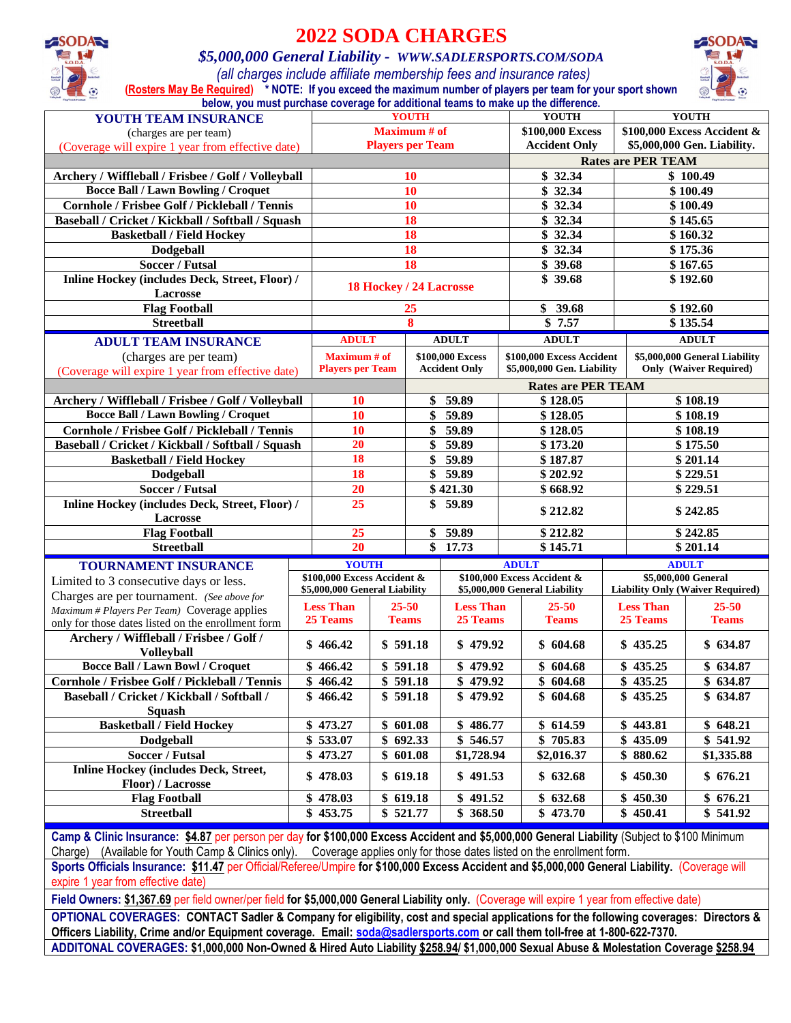

## **2022 SODA CHARGES**

#### *\$5,000,000 General Liability - WWW.SADLERSPORTS.COM/SODA*

*(all charges include affiliate membership fees and insurance rates)* **(Rosters May Be Required) \* NOTE: If you exceed the maximum number of players per team for your sport shown** 



| <b>YOUTH</b><br><b>YOUTH</b><br>YOUTH TEAM INSURANCE<br><b>Maximum</b> # of<br>\$100,000 Excess<br>\$100,000 Excess Accident &<br>(charges are per team)<br>\$5,000,000 Gen. Liability.<br><b>Players per Team</b><br><b>Accident Only</b><br>(Coverage will expire 1 year from effective date)<br><b>Rates are PER TEAM</b><br>\$32.34<br>Archery / Wiffleball / Frisbee / Golf / Volleyball<br>\$100.49<br><b>10</b><br><b>Bocce Ball / Lawn Bowling / Croquet</b><br>\$32.34<br>10<br>\$100.49<br>Cornhole / Frisbee Golf / Pickleball / Tennis<br>10<br>\$32.34<br>\$100.49<br>18<br>Baseball / Cricket / Kickball / Softball / Squash<br>\$32.34<br>\$145.65<br>18<br>\$32.34<br>\$160.32<br><b>Basketball / Field Hockey</b><br>18<br>\$32.34<br>Dodgeball<br>\$175.36<br><b>Soccer / Futsal</b><br>18<br>\$39.68<br>\$167.65<br>Inline Hockey (includes Deck, Street, Floor) /<br>\$39.68<br>\$192.60<br>18 Hockey / 24 Lacrosse<br>Lacrosse<br><b>Flag Football</b><br>\$39.68<br>\$192.60<br>25<br><b>Streetball</b><br>8<br>\$135.54<br>\$7.57<br><b>ADULT</b><br><b>ADULT</b><br><b>ADULT</b><br><b>ADULT TEAM INSURANCE</b><br><b>ADULT</b><br><b>Maximum</b> # of<br>\$100,000 Excess<br>\$100,000 Excess Accident<br>\$5,000,000 General Liability<br>(charges are per team)<br><b>Only (Waiver Required)</b><br><b>Players per Team</b><br><b>Accident Only</b><br>\$5,000,000 Gen. Liability<br>(Coverage will expire 1 year from effective date)<br><b>Rates are PER TEAM</b><br>59.89<br>\$128.05<br>\$108.19<br>Archery / Wiffleball / Frisbee / Golf / Volleyball<br><b>10</b><br>\$<br><b>Bocce Ball / Lawn Bowling / Croquet</b><br>\$108.19<br>10<br>\$<br>59.89<br>\$128.05<br>59.89<br>Cornhole / Frisbee Golf / Pickleball / Tennis<br>10<br>\$<br>\$128.05<br>\$108.19<br>59.89<br>20<br>\$173.20<br>\$175.50<br>Baseball / Cricket / Kickball / Softball / Squash<br>\$<br>18<br>59.89<br>\$<br>\$187.87<br>\$201.14<br><b>Basketball / Field Hockey</b><br>18<br>$\mathbf{\$}$<br>59.89<br>\$229.51<br>Dodgeball<br>\$202.92<br><b>Soccer / Futsal</b><br>\$421.30<br>\$668.92<br>\$229.51<br>20<br>Inline Hockey (includes Deck, Street, Floor) /<br>25<br>59.89<br>\$<br>\$212.82<br>\$242.85<br>Lacrosse<br>25<br>\$59.89<br><b>Flag Football</b><br>\$212.82<br>\$242.85<br>\$<br>\$145.71<br>\$201.14<br>20<br>17.73<br><b>Streetball</b><br><b>YOUTH</b><br><b>ADULT</b><br><b>ADULT</b><br><b>TOURNAMENT INSURANCE</b><br>\$100,000 Excess Accident &<br>\$5,000,000 General<br>\$100,000 Excess Accident &<br>Limited to 3 consecutive days or less.<br>\$5,000,000 General Liability<br>\$5,000,000 General Liability<br><b>Liability Only (Waiver Required)</b><br>Charges are per tournament. (See above for<br><b>Less Than</b><br><b>Less Than</b><br>$25 - 50$<br>$25 - 50$<br><b>Less Than</b><br>$25 - 50$<br>Maximum # Players Per Team) Coverage applies<br>25 Teams<br><b>Teams</b><br>25 Teams<br><b>Teams</b><br>25 Teams<br><b>Teams</b><br>only for those dates listed on the enrollment form<br>Archery / Wiffleball / Frisbee / Golf /<br>\$591.18<br>\$479.92<br>\$604.68<br>\$435.25<br>\$634.87<br>\$466.42<br><b>Volleyball</b><br><b>Bocce Ball / Lawn Bowl / Croquet</b><br>\$466.42<br>\$591.18<br>\$479.92<br>\$604.68<br>\$435.25<br>\$634.87<br>Cornhole / Frisbee Golf / Pickleball / Tennis<br>\$466.42<br>\$591.18<br>\$479.92<br>\$604.68<br>\$435.25<br>\$634.87<br>\$591.18<br>\$479.92<br>\$604.68<br>Baseball / Cricket / Kickball / Softball /<br>\$466.42<br>\$435.25<br>\$634.87<br><b>Squash</b><br>\$486.77<br>\$443.81<br>\$648.21<br><b>Basketball / Field Hockey</b><br>\$473.27<br>\$601.08<br>\$614.59<br>\$692.33<br>\$546.57<br>\$705.83<br>435.09<br>\$541.92<br>\$533.07<br>Dodgeball<br>\$<br><b>Soccer / Futsal</b><br>473.27<br>\$601.08<br>\$1,728.94<br>\$2,016.37<br>\$880.62<br>\$1,335.88<br>\$<br><b>Inline Hockey (includes Deck, Street,</b><br>\$619.18<br>\$478.03<br>\$491.53<br>\$632.68<br>\$450.30<br>\$676.21<br>Floor) / Lacrosse<br>\$619.18<br><b>Flag Football</b><br>\$478.03<br>\$491.52<br>\$632.68<br>\$450.30<br>\$676.21<br>\$453.75<br>\$521.77<br>\$368.50<br>\$473.70<br>\$450.41<br>\$541.92<br><b>Streetball</b><br>Camp & Clinic Insurance: \$4.87 per person per day for \$100,000 Excess Accident and \$5,000,000 General Liability (Subject to \$100 Minimum | below, you must purchase coverage for additional teams to make up the difference. |  |              |  |  |  |  |  |  |
|-----------------------------------------------------------------------------------------------------------------------------------------------------------------------------------------------------------------------------------------------------------------------------------------------------------------------------------------------------------------------------------------------------------------------------------------------------------------------------------------------------------------------------------------------------------------------------------------------------------------------------------------------------------------------------------------------------------------------------------------------------------------------------------------------------------------------------------------------------------------------------------------------------------------------------------------------------------------------------------------------------------------------------------------------------------------------------------------------------------------------------------------------------------------------------------------------------------------------------------------------------------------------------------------------------------------------------------------------------------------------------------------------------------------------------------------------------------------------------------------------------------------------------------------------------------------------------------------------------------------------------------------------------------------------------------------------------------------------------------------------------------------------------------------------------------------------------------------------------------------------------------------------------------------------------------------------------------------------------------------------------------------------------------------------------------------------------------------------------------------------------------------------------------------------------------------------------------------------------------------------------------------------------------------------------------------------------------------------------------------------------------------------------------------------------------------------------------------------------------------------------------------------------------------------------------------------------------------------------------------------------------------------------------------------------------------------------------------------------------------------------------------------------------------------------------------------------------------------------------------------------------------------------------------------------------------------------------------------------------------------------------------------------------------------------------------------------------------------------------------------------------------------------------------------------------------------------------------------------------------------------------------------------------------------------------------------------------------------------------------------------------------------------------------------------------------------------------------------------------------------------------------------------------------------------------------------------------------------------------------------------------------------------------------------------------------------------------------------------------------------------------------------------------------------------------------------------------------------------------------------------------------------------------------------------------------------------------------------------------------------------------------------------------------------------------------------------------------------------------------------------------------------------------------------------------------------------------------------------------------------------------------------------------------------------------------------------------------------------------------------------------------|-----------------------------------------------------------------------------------|--|--------------|--|--|--|--|--|--|
|                                                                                                                                                                                                                                                                                                                                                                                                                                                                                                                                                                                                                                                                                                                                                                                                                                                                                                                                                                                                                                                                                                                                                                                                                                                                                                                                                                                                                                                                                                                                                                                                                                                                                                                                                                                                                                                                                                                                                                                                                                                                                                                                                                                                                                                                                                                                                                                                                                                                                                                                                                                                                                                                                                                                                                                                                                                                                                                                                                                                                                                                                                                                                                                                                                                                                                                                                                                                                                                                                                                                                                                                                                                                                                                                                                                                                                                                                                                                                                                                                                                                                                                                                                                                                                                                                                                                                                                         |                                                                                   |  | <b>YOUTH</b> |  |  |  |  |  |  |
|                                                                                                                                                                                                                                                                                                                                                                                                                                                                                                                                                                                                                                                                                                                                                                                                                                                                                                                                                                                                                                                                                                                                                                                                                                                                                                                                                                                                                                                                                                                                                                                                                                                                                                                                                                                                                                                                                                                                                                                                                                                                                                                                                                                                                                                                                                                                                                                                                                                                                                                                                                                                                                                                                                                                                                                                                                                                                                                                                                                                                                                                                                                                                                                                                                                                                                                                                                                                                                                                                                                                                                                                                                                                                                                                                                                                                                                                                                                                                                                                                                                                                                                                                                                                                                                                                                                                                                                         |                                                                                   |  |              |  |  |  |  |  |  |
|                                                                                                                                                                                                                                                                                                                                                                                                                                                                                                                                                                                                                                                                                                                                                                                                                                                                                                                                                                                                                                                                                                                                                                                                                                                                                                                                                                                                                                                                                                                                                                                                                                                                                                                                                                                                                                                                                                                                                                                                                                                                                                                                                                                                                                                                                                                                                                                                                                                                                                                                                                                                                                                                                                                                                                                                                                                                                                                                                                                                                                                                                                                                                                                                                                                                                                                                                                                                                                                                                                                                                                                                                                                                                                                                                                                                                                                                                                                                                                                                                                                                                                                                                                                                                                                                                                                                                                                         |                                                                                   |  |              |  |  |  |  |  |  |
|                                                                                                                                                                                                                                                                                                                                                                                                                                                                                                                                                                                                                                                                                                                                                                                                                                                                                                                                                                                                                                                                                                                                                                                                                                                                                                                                                                                                                                                                                                                                                                                                                                                                                                                                                                                                                                                                                                                                                                                                                                                                                                                                                                                                                                                                                                                                                                                                                                                                                                                                                                                                                                                                                                                                                                                                                                                                                                                                                                                                                                                                                                                                                                                                                                                                                                                                                                                                                                                                                                                                                                                                                                                                                                                                                                                                                                                                                                                                                                                                                                                                                                                                                                                                                                                                                                                                                                                         |                                                                                   |  |              |  |  |  |  |  |  |
|                                                                                                                                                                                                                                                                                                                                                                                                                                                                                                                                                                                                                                                                                                                                                                                                                                                                                                                                                                                                                                                                                                                                                                                                                                                                                                                                                                                                                                                                                                                                                                                                                                                                                                                                                                                                                                                                                                                                                                                                                                                                                                                                                                                                                                                                                                                                                                                                                                                                                                                                                                                                                                                                                                                                                                                                                                                                                                                                                                                                                                                                                                                                                                                                                                                                                                                                                                                                                                                                                                                                                                                                                                                                                                                                                                                                                                                                                                                                                                                                                                                                                                                                                                                                                                                                                                                                                                                         |                                                                                   |  |              |  |  |  |  |  |  |
|                                                                                                                                                                                                                                                                                                                                                                                                                                                                                                                                                                                                                                                                                                                                                                                                                                                                                                                                                                                                                                                                                                                                                                                                                                                                                                                                                                                                                                                                                                                                                                                                                                                                                                                                                                                                                                                                                                                                                                                                                                                                                                                                                                                                                                                                                                                                                                                                                                                                                                                                                                                                                                                                                                                                                                                                                                                                                                                                                                                                                                                                                                                                                                                                                                                                                                                                                                                                                                                                                                                                                                                                                                                                                                                                                                                                                                                                                                                                                                                                                                                                                                                                                                                                                                                                                                                                                                                         |                                                                                   |  |              |  |  |  |  |  |  |
|                                                                                                                                                                                                                                                                                                                                                                                                                                                                                                                                                                                                                                                                                                                                                                                                                                                                                                                                                                                                                                                                                                                                                                                                                                                                                                                                                                                                                                                                                                                                                                                                                                                                                                                                                                                                                                                                                                                                                                                                                                                                                                                                                                                                                                                                                                                                                                                                                                                                                                                                                                                                                                                                                                                                                                                                                                                                                                                                                                                                                                                                                                                                                                                                                                                                                                                                                                                                                                                                                                                                                                                                                                                                                                                                                                                                                                                                                                                                                                                                                                                                                                                                                                                                                                                                                                                                                                                         |                                                                                   |  |              |  |  |  |  |  |  |
|                                                                                                                                                                                                                                                                                                                                                                                                                                                                                                                                                                                                                                                                                                                                                                                                                                                                                                                                                                                                                                                                                                                                                                                                                                                                                                                                                                                                                                                                                                                                                                                                                                                                                                                                                                                                                                                                                                                                                                                                                                                                                                                                                                                                                                                                                                                                                                                                                                                                                                                                                                                                                                                                                                                                                                                                                                                                                                                                                                                                                                                                                                                                                                                                                                                                                                                                                                                                                                                                                                                                                                                                                                                                                                                                                                                                                                                                                                                                                                                                                                                                                                                                                                                                                                                                                                                                                                                         |                                                                                   |  |              |  |  |  |  |  |  |
|                                                                                                                                                                                                                                                                                                                                                                                                                                                                                                                                                                                                                                                                                                                                                                                                                                                                                                                                                                                                                                                                                                                                                                                                                                                                                                                                                                                                                                                                                                                                                                                                                                                                                                                                                                                                                                                                                                                                                                                                                                                                                                                                                                                                                                                                                                                                                                                                                                                                                                                                                                                                                                                                                                                                                                                                                                                                                                                                                                                                                                                                                                                                                                                                                                                                                                                                                                                                                                                                                                                                                                                                                                                                                                                                                                                                                                                                                                                                                                                                                                                                                                                                                                                                                                                                                                                                                                                         |                                                                                   |  |              |  |  |  |  |  |  |
|                                                                                                                                                                                                                                                                                                                                                                                                                                                                                                                                                                                                                                                                                                                                                                                                                                                                                                                                                                                                                                                                                                                                                                                                                                                                                                                                                                                                                                                                                                                                                                                                                                                                                                                                                                                                                                                                                                                                                                                                                                                                                                                                                                                                                                                                                                                                                                                                                                                                                                                                                                                                                                                                                                                                                                                                                                                                                                                                                                                                                                                                                                                                                                                                                                                                                                                                                                                                                                                                                                                                                                                                                                                                                                                                                                                                                                                                                                                                                                                                                                                                                                                                                                                                                                                                                                                                                                                         |                                                                                   |  |              |  |  |  |  |  |  |
|                                                                                                                                                                                                                                                                                                                                                                                                                                                                                                                                                                                                                                                                                                                                                                                                                                                                                                                                                                                                                                                                                                                                                                                                                                                                                                                                                                                                                                                                                                                                                                                                                                                                                                                                                                                                                                                                                                                                                                                                                                                                                                                                                                                                                                                                                                                                                                                                                                                                                                                                                                                                                                                                                                                                                                                                                                                                                                                                                                                                                                                                                                                                                                                                                                                                                                                                                                                                                                                                                                                                                                                                                                                                                                                                                                                                                                                                                                                                                                                                                                                                                                                                                                                                                                                                                                                                                                                         |                                                                                   |  |              |  |  |  |  |  |  |
|                                                                                                                                                                                                                                                                                                                                                                                                                                                                                                                                                                                                                                                                                                                                                                                                                                                                                                                                                                                                                                                                                                                                                                                                                                                                                                                                                                                                                                                                                                                                                                                                                                                                                                                                                                                                                                                                                                                                                                                                                                                                                                                                                                                                                                                                                                                                                                                                                                                                                                                                                                                                                                                                                                                                                                                                                                                                                                                                                                                                                                                                                                                                                                                                                                                                                                                                                                                                                                                                                                                                                                                                                                                                                                                                                                                                                                                                                                                                                                                                                                                                                                                                                                                                                                                                                                                                                                                         |                                                                                   |  |              |  |  |  |  |  |  |
|                                                                                                                                                                                                                                                                                                                                                                                                                                                                                                                                                                                                                                                                                                                                                                                                                                                                                                                                                                                                                                                                                                                                                                                                                                                                                                                                                                                                                                                                                                                                                                                                                                                                                                                                                                                                                                                                                                                                                                                                                                                                                                                                                                                                                                                                                                                                                                                                                                                                                                                                                                                                                                                                                                                                                                                                                                                                                                                                                                                                                                                                                                                                                                                                                                                                                                                                                                                                                                                                                                                                                                                                                                                                                                                                                                                                                                                                                                                                                                                                                                                                                                                                                                                                                                                                                                                                                                                         |                                                                                   |  |              |  |  |  |  |  |  |
|                                                                                                                                                                                                                                                                                                                                                                                                                                                                                                                                                                                                                                                                                                                                                                                                                                                                                                                                                                                                                                                                                                                                                                                                                                                                                                                                                                                                                                                                                                                                                                                                                                                                                                                                                                                                                                                                                                                                                                                                                                                                                                                                                                                                                                                                                                                                                                                                                                                                                                                                                                                                                                                                                                                                                                                                                                                                                                                                                                                                                                                                                                                                                                                                                                                                                                                                                                                                                                                                                                                                                                                                                                                                                                                                                                                                                                                                                                                                                                                                                                                                                                                                                                                                                                                                                                                                                                                         |                                                                                   |  |              |  |  |  |  |  |  |
|                                                                                                                                                                                                                                                                                                                                                                                                                                                                                                                                                                                                                                                                                                                                                                                                                                                                                                                                                                                                                                                                                                                                                                                                                                                                                                                                                                                                                                                                                                                                                                                                                                                                                                                                                                                                                                                                                                                                                                                                                                                                                                                                                                                                                                                                                                                                                                                                                                                                                                                                                                                                                                                                                                                                                                                                                                                                                                                                                                                                                                                                                                                                                                                                                                                                                                                                                                                                                                                                                                                                                                                                                                                                                                                                                                                                                                                                                                                                                                                                                                                                                                                                                                                                                                                                                                                                                                                         |                                                                                   |  |              |  |  |  |  |  |  |
|                                                                                                                                                                                                                                                                                                                                                                                                                                                                                                                                                                                                                                                                                                                                                                                                                                                                                                                                                                                                                                                                                                                                                                                                                                                                                                                                                                                                                                                                                                                                                                                                                                                                                                                                                                                                                                                                                                                                                                                                                                                                                                                                                                                                                                                                                                                                                                                                                                                                                                                                                                                                                                                                                                                                                                                                                                                                                                                                                                                                                                                                                                                                                                                                                                                                                                                                                                                                                                                                                                                                                                                                                                                                                                                                                                                                                                                                                                                                                                                                                                                                                                                                                                                                                                                                                                                                                                                         |                                                                                   |  |              |  |  |  |  |  |  |
|                                                                                                                                                                                                                                                                                                                                                                                                                                                                                                                                                                                                                                                                                                                                                                                                                                                                                                                                                                                                                                                                                                                                                                                                                                                                                                                                                                                                                                                                                                                                                                                                                                                                                                                                                                                                                                                                                                                                                                                                                                                                                                                                                                                                                                                                                                                                                                                                                                                                                                                                                                                                                                                                                                                                                                                                                                                                                                                                                                                                                                                                                                                                                                                                                                                                                                                                                                                                                                                                                                                                                                                                                                                                                                                                                                                                                                                                                                                                                                                                                                                                                                                                                                                                                                                                                                                                                                                         |                                                                                   |  |              |  |  |  |  |  |  |
|                                                                                                                                                                                                                                                                                                                                                                                                                                                                                                                                                                                                                                                                                                                                                                                                                                                                                                                                                                                                                                                                                                                                                                                                                                                                                                                                                                                                                                                                                                                                                                                                                                                                                                                                                                                                                                                                                                                                                                                                                                                                                                                                                                                                                                                                                                                                                                                                                                                                                                                                                                                                                                                                                                                                                                                                                                                                                                                                                                                                                                                                                                                                                                                                                                                                                                                                                                                                                                                                                                                                                                                                                                                                                                                                                                                                                                                                                                                                                                                                                                                                                                                                                                                                                                                                                                                                                                                         |                                                                                   |  |              |  |  |  |  |  |  |
|                                                                                                                                                                                                                                                                                                                                                                                                                                                                                                                                                                                                                                                                                                                                                                                                                                                                                                                                                                                                                                                                                                                                                                                                                                                                                                                                                                                                                                                                                                                                                                                                                                                                                                                                                                                                                                                                                                                                                                                                                                                                                                                                                                                                                                                                                                                                                                                                                                                                                                                                                                                                                                                                                                                                                                                                                                                                                                                                                                                                                                                                                                                                                                                                                                                                                                                                                                                                                                                                                                                                                                                                                                                                                                                                                                                                                                                                                                                                                                                                                                                                                                                                                                                                                                                                                                                                                                                         |                                                                                   |  |              |  |  |  |  |  |  |
|                                                                                                                                                                                                                                                                                                                                                                                                                                                                                                                                                                                                                                                                                                                                                                                                                                                                                                                                                                                                                                                                                                                                                                                                                                                                                                                                                                                                                                                                                                                                                                                                                                                                                                                                                                                                                                                                                                                                                                                                                                                                                                                                                                                                                                                                                                                                                                                                                                                                                                                                                                                                                                                                                                                                                                                                                                                                                                                                                                                                                                                                                                                                                                                                                                                                                                                                                                                                                                                                                                                                                                                                                                                                                                                                                                                                                                                                                                                                                                                                                                                                                                                                                                                                                                                                                                                                                                                         |                                                                                   |  |              |  |  |  |  |  |  |
|                                                                                                                                                                                                                                                                                                                                                                                                                                                                                                                                                                                                                                                                                                                                                                                                                                                                                                                                                                                                                                                                                                                                                                                                                                                                                                                                                                                                                                                                                                                                                                                                                                                                                                                                                                                                                                                                                                                                                                                                                                                                                                                                                                                                                                                                                                                                                                                                                                                                                                                                                                                                                                                                                                                                                                                                                                                                                                                                                                                                                                                                                                                                                                                                                                                                                                                                                                                                                                                                                                                                                                                                                                                                                                                                                                                                                                                                                                                                                                                                                                                                                                                                                                                                                                                                                                                                                                                         |                                                                                   |  |              |  |  |  |  |  |  |
|                                                                                                                                                                                                                                                                                                                                                                                                                                                                                                                                                                                                                                                                                                                                                                                                                                                                                                                                                                                                                                                                                                                                                                                                                                                                                                                                                                                                                                                                                                                                                                                                                                                                                                                                                                                                                                                                                                                                                                                                                                                                                                                                                                                                                                                                                                                                                                                                                                                                                                                                                                                                                                                                                                                                                                                                                                                                                                                                                                                                                                                                                                                                                                                                                                                                                                                                                                                                                                                                                                                                                                                                                                                                                                                                                                                                                                                                                                                                                                                                                                                                                                                                                                                                                                                                                                                                                                                         |                                                                                   |  |              |  |  |  |  |  |  |
|                                                                                                                                                                                                                                                                                                                                                                                                                                                                                                                                                                                                                                                                                                                                                                                                                                                                                                                                                                                                                                                                                                                                                                                                                                                                                                                                                                                                                                                                                                                                                                                                                                                                                                                                                                                                                                                                                                                                                                                                                                                                                                                                                                                                                                                                                                                                                                                                                                                                                                                                                                                                                                                                                                                                                                                                                                                                                                                                                                                                                                                                                                                                                                                                                                                                                                                                                                                                                                                                                                                                                                                                                                                                                                                                                                                                                                                                                                                                                                                                                                                                                                                                                                                                                                                                                                                                                                                         |                                                                                   |  |              |  |  |  |  |  |  |
|                                                                                                                                                                                                                                                                                                                                                                                                                                                                                                                                                                                                                                                                                                                                                                                                                                                                                                                                                                                                                                                                                                                                                                                                                                                                                                                                                                                                                                                                                                                                                                                                                                                                                                                                                                                                                                                                                                                                                                                                                                                                                                                                                                                                                                                                                                                                                                                                                                                                                                                                                                                                                                                                                                                                                                                                                                                                                                                                                                                                                                                                                                                                                                                                                                                                                                                                                                                                                                                                                                                                                                                                                                                                                                                                                                                                                                                                                                                                                                                                                                                                                                                                                                                                                                                                                                                                                                                         |                                                                                   |  |              |  |  |  |  |  |  |
|                                                                                                                                                                                                                                                                                                                                                                                                                                                                                                                                                                                                                                                                                                                                                                                                                                                                                                                                                                                                                                                                                                                                                                                                                                                                                                                                                                                                                                                                                                                                                                                                                                                                                                                                                                                                                                                                                                                                                                                                                                                                                                                                                                                                                                                                                                                                                                                                                                                                                                                                                                                                                                                                                                                                                                                                                                                                                                                                                                                                                                                                                                                                                                                                                                                                                                                                                                                                                                                                                                                                                                                                                                                                                                                                                                                                                                                                                                                                                                                                                                                                                                                                                                                                                                                                                                                                                                                         |                                                                                   |  |              |  |  |  |  |  |  |
|                                                                                                                                                                                                                                                                                                                                                                                                                                                                                                                                                                                                                                                                                                                                                                                                                                                                                                                                                                                                                                                                                                                                                                                                                                                                                                                                                                                                                                                                                                                                                                                                                                                                                                                                                                                                                                                                                                                                                                                                                                                                                                                                                                                                                                                                                                                                                                                                                                                                                                                                                                                                                                                                                                                                                                                                                                                                                                                                                                                                                                                                                                                                                                                                                                                                                                                                                                                                                                                                                                                                                                                                                                                                                                                                                                                                                                                                                                                                                                                                                                                                                                                                                                                                                                                                                                                                                                                         |                                                                                   |  |              |  |  |  |  |  |  |
|                                                                                                                                                                                                                                                                                                                                                                                                                                                                                                                                                                                                                                                                                                                                                                                                                                                                                                                                                                                                                                                                                                                                                                                                                                                                                                                                                                                                                                                                                                                                                                                                                                                                                                                                                                                                                                                                                                                                                                                                                                                                                                                                                                                                                                                                                                                                                                                                                                                                                                                                                                                                                                                                                                                                                                                                                                                                                                                                                                                                                                                                                                                                                                                                                                                                                                                                                                                                                                                                                                                                                                                                                                                                                                                                                                                                                                                                                                                                                                                                                                                                                                                                                                                                                                                                                                                                                                                         |                                                                                   |  |              |  |  |  |  |  |  |
|                                                                                                                                                                                                                                                                                                                                                                                                                                                                                                                                                                                                                                                                                                                                                                                                                                                                                                                                                                                                                                                                                                                                                                                                                                                                                                                                                                                                                                                                                                                                                                                                                                                                                                                                                                                                                                                                                                                                                                                                                                                                                                                                                                                                                                                                                                                                                                                                                                                                                                                                                                                                                                                                                                                                                                                                                                                                                                                                                                                                                                                                                                                                                                                                                                                                                                                                                                                                                                                                                                                                                                                                                                                                                                                                                                                                                                                                                                                                                                                                                                                                                                                                                                                                                                                                                                                                                                                         |                                                                                   |  |              |  |  |  |  |  |  |
|                                                                                                                                                                                                                                                                                                                                                                                                                                                                                                                                                                                                                                                                                                                                                                                                                                                                                                                                                                                                                                                                                                                                                                                                                                                                                                                                                                                                                                                                                                                                                                                                                                                                                                                                                                                                                                                                                                                                                                                                                                                                                                                                                                                                                                                                                                                                                                                                                                                                                                                                                                                                                                                                                                                                                                                                                                                                                                                                                                                                                                                                                                                                                                                                                                                                                                                                                                                                                                                                                                                                                                                                                                                                                                                                                                                                                                                                                                                                                                                                                                                                                                                                                                                                                                                                                                                                                                                         |                                                                                   |  |              |  |  |  |  |  |  |
|                                                                                                                                                                                                                                                                                                                                                                                                                                                                                                                                                                                                                                                                                                                                                                                                                                                                                                                                                                                                                                                                                                                                                                                                                                                                                                                                                                                                                                                                                                                                                                                                                                                                                                                                                                                                                                                                                                                                                                                                                                                                                                                                                                                                                                                                                                                                                                                                                                                                                                                                                                                                                                                                                                                                                                                                                                                                                                                                                                                                                                                                                                                                                                                                                                                                                                                                                                                                                                                                                                                                                                                                                                                                                                                                                                                                                                                                                                                                                                                                                                                                                                                                                                                                                                                                                                                                                                                         |                                                                                   |  |              |  |  |  |  |  |  |
|                                                                                                                                                                                                                                                                                                                                                                                                                                                                                                                                                                                                                                                                                                                                                                                                                                                                                                                                                                                                                                                                                                                                                                                                                                                                                                                                                                                                                                                                                                                                                                                                                                                                                                                                                                                                                                                                                                                                                                                                                                                                                                                                                                                                                                                                                                                                                                                                                                                                                                                                                                                                                                                                                                                                                                                                                                                                                                                                                                                                                                                                                                                                                                                                                                                                                                                                                                                                                                                                                                                                                                                                                                                                                                                                                                                                                                                                                                                                                                                                                                                                                                                                                                                                                                                                                                                                                                                         |                                                                                   |  |              |  |  |  |  |  |  |
|                                                                                                                                                                                                                                                                                                                                                                                                                                                                                                                                                                                                                                                                                                                                                                                                                                                                                                                                                                                                                                                                                                                                                                                                                                                                                                                                                                                                                                                                                                                                                                                                                                                                                                                                                                                                                                                                                                                                                                                                                                                                                                                                                                                                                                                                                                                                                                                                                                                                                                                                                                                                                                                                                                                                                                                                                                                                                                                                                                                                                                                                                                                                                                                                                                                                                                                                                                                                                                                                                                                                                                                                                                                                                                                                                                                                                                                                                                                                                                                                                                                                                                                                                                                                                                                                                                                                                                                         |                                                                                   |  |              |  |  |  |  |  |  |
|                                                                                                                                                                                                                                                                                                                                                                                                                                                                                                                                                                                                                                                                                                                                                                                                                                                                                                                                                                                                                                                                                                                                                                                                                                                                                                                                                                                                                                                                                                                                                                                                                                                                                                                                                                                                                                                                                                                                                                                                                                                                                                                                                                                                                                                                                                                                                                                                                                                                                                                                                                                                                                                                                                                                                                                                                                                                                                                                                                                                                                                                                                                                                                                                                                                                                                                                                                                                                                                                                                                                                                                                                                                                                                                                                                                                                                                                                                                                                                                                                                                                                                                                                                                                                                                                                                                                                                                         |                                                                                   |  |              |  |  |  |  |  |  |
|                                                                                                                                                                                                                                                                                                                                                                                                                                                                                                                                                                                                                                                                                                                                                                                                                                                                                                                                                                                                                                                                                                                                                                                                                                                                                                                                                                                                                                                                                                                                                                                                                                                                                                                                                                                                                                                                                                                                                                                                                                                                                                                                                                                                                                                                                                                                                                                                                                                                                                                                                                                                                                                                                                                                                                                                                                                                                                                                                                                                                                                                                                                                                                                                                                                                                                                                                                                                                                                                                                                                                                                                                                                                                                                                                                                                                                                                                                                                                                                                                                                                                                                                                                                                                                                                                                                                                                                         |                                                                                   |  |              |  |  |  |  |  |  |
|                                                                                                                                                                                                                                                                                                                                                                                                                                                                                                                                                                                                                                                                                                                                                                                                                                                                                                                                                                                                                                                                                                                                                                                                                                                                                                                                                                                                                                                                                                                                                                                                                                                                                                                                                                                                                                                                                                                                                                                                                                                                                                                                                                                                                                                                                                                                                                                                                                                                                                                                                                                                                                                                                                                                                                                                                                                                                                                                                                                                                                                                                                                                                                                                                                                                                                                                                                                                                                                                                                                                                                                                                                                                                                                                                                                                                                                                                                                                                                                                                                                                                                                                                                                                                                                                                                                                                                                         |                                                                                   |  |              |  |  |  |  |  |  |
|                                                                                                                                                                                                                                                                                                                                                                                                                                                                                                                                                                                                                                                                                                                                                                                                                                                                                                                                                                                                                                                                                                                                                                                                                                                                                                                                                                                                                                                                                                                                                                                                                                                                                                                                                                                                                                                                                                                                                                                                                                                                                                                                                                                                                                                                                                                                                                                                                                                                                                                                                                                                                                                                                                                                                                                                                                                                                                                                                                                                                                                                                                                                                                                                                                                                                                                                                                                                                                                                                                                                                                                                                                                                                                                                                                                                                                                                                                                                                                                                                                                                                                                                                                                                                                                                                                                                                                                         |                                                                                   |  |              |  |  |  |  |  |  |
|                                                                                                                                                                                                                                                                                                                                                                                                                                                                                                                                                                                                                                                                                                                                                                                                                                                                                                                                                                                                                                                                                                                                                                                                                                                                                                                                                                                                                                                                                                                                                                                                                                                                                                                                                                                                                                                                                                                                                                                                                                                                                                                                                                                                                                                                                                                                                                                                                                                                                                                                                                                                                                                                                                                                                                                                                                                                                                                                                                                                                                                                                                                                                                                                                                                                                                                                                                                                                                                                                                                                                                                                                                                                                                                                                                                                                                                                                                                                                                                                                                                                                                                                                                                                                                                                                                                                                                                         |                                                                                   |  |              |  |  |  |  |  |  |
|                                                                                                                                                                                                                                                                                                                                                                                                                                                                                                                                                                                                                                                                                                                                                                                                                                                                                                                                                                                                                                                                                                                                                                                                                                                                                                                                                                                                                                                                                                                                                                                                                                                                                                                                                                                                                                                                                                                                                                                                                                                                                                                                                                                                                                                                                                                                                                                                                                                                                                                                                                                                                                                                                                                                                                                                                                                                                                                                                                                                                                                                                                                                                                                                                                                                                                                                                                                                                                                                                                                                                                                                                                                                                                                                                                                                                                                                                                                                                                                                                                                                                                                                                                                                                                                                                                                                                                                         |                                                                                   |  |              |  |  |  |  |  |  |
|                                                                                                                                                                                                                                                                                                                                                                                                                                                                                                                                                                                                                                                                                                                                                                                                                                                                                                                                                                                                                                                                                                                                                                                                                                                                                                                                                                                                                                                                                                                                                                                                                                                                                                                                                                                                                                                                                                                                                                                                                                                                                                                                                                                                                                                                                                                                                                                                                                                                                                                                                                                                                                                                                                                                                                                                                                                                                                                                                                                                                                                                                                                                                                                                                                                                                                                                                                                                                                                                                                                                                                                                                                                                                                                                                                                                                                                                                                                                                                                                                                                                                                                                                                                                                                                                                                                                                                                         |                                                                                   |  |              |  |  |  |  |  |  |
|                                                                                                                                                                                                                                                                                                                                                                                                                                                                                                                                                                                                                                                                                                                                                                                                                                                                                                                                                                                                                                                                                                                                                                                                                                                                                                                                                                                                                                                                                                                                                                                                                                                                                                                                                                                                                                                                                                                                                                                                                                                                                                                                                                                                                                                                                                                                                                                                                                                                                                                                                                                                                                                                                                                                                                                                                                                                                                                                                                                                                                                                                                                                                                                                                                                                                                                                                                                                                                                                                                                                                                                                                                                                                                                                                                                                                                                                                                                                                                                                                                                                                                                                                                                                                                                                                                                                                                                         |                                                                                   |  |              |  |  |  |  |  |  |
|                                                                                                                                                                                                                                                                                                                                                                                                                                                                                                                                                                                                                                                                                                                                                                                                                                                                                                                                                                                                                                                                                                                                                                                                                                                                                                                                                                                                                                                                                                                                                                                                                                                                                                                                                                                                                                                                                                                                                                                                                                                                                                                                                                                                                                                                                                                                                                                                                                                                                                                                                                                                                                                                                                                                                                                                                                                                                                                                                                                                                                                                                                                                                                                                                                                                                                                                                                                                                                                                                                                                                                                                                                                                                                                                                                                                                                                                                                                                                                                                                                                                                                                                                                                                                                                                                                                                                                                         |                                                                                   |  |              |  |  |  |  |  |  |
|                                                                                                                                                                                                                                                                                                                                                                                                                                                                                                                                                                                                                                                                                                                                                                                                                                                                                                                                                                                                                                                                                                                                                                                                                                                                                                                                                                                                                                                                                                                                                                                                                                                                                                                                                                                                                                                                                                                                                                                                                                                                                                                                                                                                                                                                                                                                                                                                                                                                                                                                                                                                                                                                                                                                                                                                                                                                                                                                                                                                                                                                                                                                                                                                                                                                                                                                                                                                                                                                                                                                                                                                                                                                                                                                                                                                                                                                                                                                                                                                                                                                                                                                                                                                                                                                                                                                                                                         |                                                                                   |  |              |  |  |  |  |  |  |
|                                                                                                                                                                                                                                                                                                                                                                                                                                                                                                                                                                                                                                                                                                                                                                                                                                                                                                                                                                                                                                                                                                                                                                                                                                                                                                                                                                                                                                                                                                                                                                                                                                                                                                                                                                                                                                                                                                                                                                                                                                                                                                                                                                                                                                                                                                                                                                                                                                                                                                                                                                                                                                                                                                                                                                                                                                                                                                                                                                                                                                                                                                                                                                                                                                                                                                                                                                                                                                                                                                                                                                                                                                                                                                                                                                                                                                                                                                                                                                                                                                                                                                                                                                                                                                                                                                                                                                                         |                                                                                   |  |              |  |  |  |  |  |  |
|                                                                                                                                                                                                                                                                                                                                                                                                                                                                                                                                                                                                                                                                                                                                                                                                                                                                                                                                                                                                                                                                                                                                                                                                                                                                                                                                                                                                                                                                                                                                                                                                                                                                                                                                                                                                                                                                                                                                                                                                                                                                                                                                                                                                                                                                                                                                                                                                                                                                                                                                                                                                                                                                                                                                                                                                                                                                                                                                                                                                                                                                                                                                                                                                                                                                                                                                                                                                                                                                                                                                                                                                                                                                                                                                                                                                                                                                                                                                                                                                                                                                                                                                                                                                                                                                                                                                                                                         |                                                                                   |  |              |  |  |  |  |  |  |
|                                                                                                                                                                                                                                                                                                                                                                                                                                                                                                                                                                                                                                                                                                                                                                                                                                                                                                                                                                                                                                                                                                                                                                                                                                                                                                                                                                                                                                                                                                                                                                                                                                                                                                                                                                                                                                                                                                                                                                                                                                                                                                                                                                                                                                                                                                                                                                                                                                                                                                                                                                                                                                                                                                                                                                                                                                                                                                                                                                                                                                                                                                                                                                                                                                                                                                                                                                                                                                                                                                                                                                                                                                                                                                                                                                                                                                                                                                                                                                                                                                                                                                                                                                                                                                                                                                                                                                                         |                                                                                   |  |              |  |  |  |  |  |  |
|                                                                                                                                                                                                                                                                                                                                                                                                                                                                                                                                                                                                                                                                                                                                                                                                                                                                                                                                                                                                                                                                                                                                                                                                                                                                                                                                                                                                                                                                                                                                                                                                                                                                                                                                                                                                                                                                                                                                                                                                                                                                                                                                                                                                                                                                                                                                                                                                                                                                                                                                                                                                                                                                                                                                                                                                                                                                                                                                                                                                                                                                                                                                                                                                                                                                                                                                                                                                                                                                                                                                                                                                                                                                                                                                                                                                                                                                                                                                                                                                                                                                                                                                                                                                                                                                                                                                                                                         |                                                                                   |  |              |  |  |  |  |  |  |
|                                                                                                                                                                                                                                                                                                                                                                                                                                                                                                                                                                                                                                                                                                                                                                                                                                                                                                                                                                                                                                                                                                                                                                                                                                                                                                                                                                                                                                                                                                                                                                                                                                                                                                                                                                                                                                                                                                                                                                                                                                                                                                                                                                                                                                                                                                                                                                                                                                                                                                                                                                                                                                                                                                                                                                                                                                                                                                                                                                                                                                                                                                                                                                                                                                                                                                                                                                                                                                                                                                                                                                                                                                                                                                                                                                                                                                                                                                                                                                                                                                                                                                                                                                                                                                                                                                                                                                                         |                                                                                   |  |              |  |  |  |  |  |  |
|                                                                                                                                                                                                                                                                                                                                                                                                                                                                                                                                                                                                                                                                                                                                                                                                                                                                                                                                                                                                                                                                                                                                                                                                                                                                                                                                                                                                                                                                                                                                                                                                                                                                                                                                                                                                                                                                                                                                                                                                                                                                                                                                                                                                                                                                                                                                                                                                                                                                                                                                                                                                                                                                                                                                                                                                                                                                                                                                                                                                                                                                                                                                                                                                                                                                                                                                                                                                                                                                                                                                                                                                                                                                                                                                                                                                                                                                                                                                                                                                                                                                                                                                                                                                                                                                                                                                                                                         |                                                                                   |  |              |  |  |  |  |  |  |
|                                                                                                                                                                                                                                                                                                                                                                                                                                                                                                                                                                                                                                                                                                                                                                                                                                                                                                                                                                                                                                                                                                                                                                                                                                                                                                                                                                                                                                                                                                                                                                                                                                                                                                                                                                                                                                                                                                                                                                                                                                                                                                                                                                                                                                                                                                                                                                                                                                                                                                                                                                                                                                                                                                                                                                                                                                                                                                                                                                                                                                                                                                                                                                                                                                                                                                                                                                                                                                                                                                                                                                                                                                                                                                                                                                                                                                                                                                                                                                                                                                                                                                                                                                                                                                                                                                                                                                                         |                                                                                   |  |              |  |  |  |  |  |  |

Charge) (Available for Youth Camp & Clinics only). Coverage applies only for those dates listed on the enrollment form.

**Sports Officials Insurance: \$11.47** per Official/Referee/Umpire **for \$100,000 Excess Accident and \$5,000,000 General Liability.** (Coverage will expire 1 year from effective date)

**Field Owners: \$1,367.69** per field owner/per field **for \$5,000,000 General Liability only.** (Coverage will expire 1 year from effective date)

**OPTIONAL COVERAGES: CONTACT Sadler & Company for eligibility, cost and special applications for the following coverages: Directors & Officers Liability, Crime and/or Equipment coverage. Email: [soda@sadlersports.com](mailto:soda@sadlersports.com) or call them toll-free at 1-800-622-7370. ADDITONAL COVERAGES: \$1,000,000 Non-Owned & Hired Auto Liability \$258.94/ \$1,000,000 Sexual Abuse & Molestation Coverage \$258.94**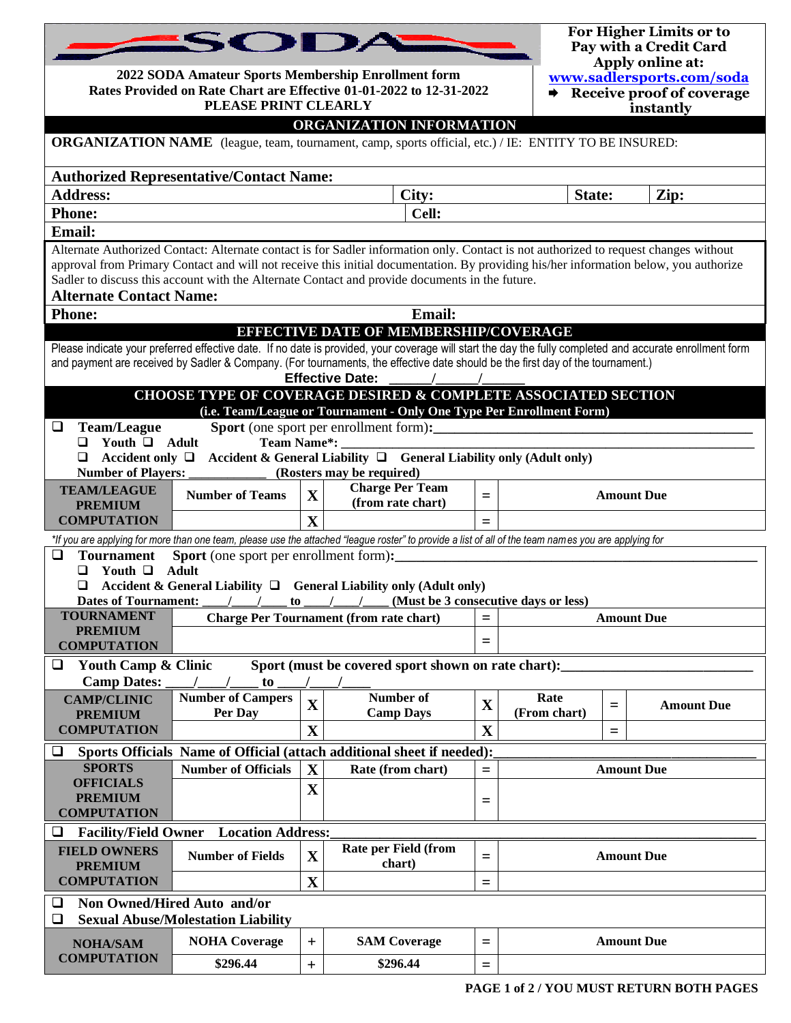|                                                                                 | SODA<br>2022 SODA Amateur Sports Membership Enrollment form<br>Rates Provided on Rate Chart are Effective 01-01-2022 to 12-31-2022<br>PLEASE PRINT CLEARLY                                                                                                                                                                                                                                                       |              |                                                                                                                                                                                                                                                                                                                                                                                                                                                  | For Higher Limits or to<br>Pay with a Credit Card<br>Apply online at:<br>www.sadlersports.com/soda<br>$\rightarrow$ Receive proof of coverage<br>instantly |                                      |     |                   |  |  |
|---------------------------------------------------------------------------------|------------------------------------------------------------------------------------------------------------------------------------------------------------------------------------------------------------------------------------------------------------------------------------------------------------------------------------------------------------------------------------------------------------------|--------------|--------------------------------------------------------------------------------------------------------------------------------------------------------------------------------------------------------------------------------------------------------------------------------------------------------------------------------------------------------------------------------------------------------------------------------------------------|------------------------------------------------------------------------------------------------------------------------------------------------------------|--------------------------------------|-----|-------------------|--|--|
|                                                                                 |                                                                                                                                                                                                                                                                                                                                                                                                                  |              | ORGANIZATION INFORMATION                                                                                                                                                                                                                                                                                                                                                                                                                         |                                                                                                                                                            |                                      |     |                   |  |  |
|                                                                                 |                                                                                                                                                                                                                                                                                                                                                                                                                  |              | <b>ORGANIZATION NAME</b> (league, team, tournament, camp, sports official, etc.) / IE: ENTITY TO BE INSURED:                                                                                                                                                                                                                                                                                                                                     |                                                                                                                                                            |                                      |     |                   |  |  |
| <b>Authorized Representative/Contact Name:</b>                                  |                                                                                                                                                                                                                                                                                                                                                                                                                  |              |                                                                                                                                                                                                                                                                                                                                                                                                                                                  |                                                                                                                                                            |                                      |     |                   |  |  |
| <b>Address:</b><br>City:<br>State:<br>Zip:                                      |                                                                                                                                                                                                                                                                                                                                                                                                                  |              |                                                                                                                                                                                                                                                                                                                                                                                                                                                  |                                                                                                                                                            |                                      |     |                   |  |  |
| <b>Phone:</b><br>Cell:                                                          |                                                                                                                                                                                                                                                                                                                                                                                                                  |              |                                                                                                                                                                                                                                                                                                                                                                                                                                                  |                                                                                                                                                            |                                      |     |                   |  |  |
| <b>Email:</b>                                                                   |                                                                                                                                                                                                                                                                                                                                                                                                                  |              |                                                                                                                                                                                                                                                                                                                                                                                                                                                  |                                                                                                                                                            |                                      |     |                   |  |  |
|                                                                                 | Alternate Authorized Contact: Alternate contact is for Sadler information only. Contact is not authorized to request changes without<br>approval from Primary Contact and will not receive this initial documentation. By providing his/her information below, you authorize<br>Sadler to discuss this account with the Alternate Contact and provide documents in the future.<br><b>Alternate Contact Name:</b> |              |                                                                                                                                                                                                                                                                                                                                                                                                                                                  |                                                                                                                                                            |                                      |     |                   |  |  |
| <b>Phone:</b>                                                                   |                                                                                                                                                                                                                                                                                                                                                                                                                  |              | <b>Email:</b>                                                                                                                                                                                                                                                                                                                                                                                                                                    |                                                                                                                                                            |                                      |     |                   |  |  |
|                                                                                 |                                                                                                                                                                                                                                                                                                                                                                                                                  |              | <b>EFFECTIVE DATE OF MEMBERSHIP/COVERAGE</b><br>Please indicate your preferred effective date. If no date is provided, your coverage will start the day the fully completed and accurate enrollment form<br>and payment are received by Sadler & Company. (For tournaments, the effective date should be the first day of the tournament.)<br><b>Effective Date:</b><br><b>CHOOSE TYPE OF COVERAGE DESIRED &amp; COMPLETE ASSOCIATED SECTION</b> |                                                                                                                                                            |                                      |     |                   |  |  |
|                                                                                 |                                                                                                                                                                                                                                                                                                                                                                                                                  |              | (i.e. Team/League or Tournament - Only One Type Per Enrollment Form)                                                                                                                                                                                                                                                                                                                                                                             |                                                                                                                                                            |                                      |     |                   |  |  |
| <b>Team/League</b><br>❏<br>Youth $\Box$ Adult<br>◻<br>⊔                         | <b>Team Name*:</b>                                                                                                                                                                                                                                                                                                                                                                                               |              | <b>Sport</b> (one sport per enrollment form):<br>Accident only $\Box$ Accident & General Liability $\Box$ General Liability only (Adult only)                                                                                                                                                                                                                                                                                                    |                                                                                                                                                            |                                      |     |                   |  |  |
| <b>Number of Players:</b>                                                       |                                                                                                                                                                                                                                                                                                                                                                                                                  |              | (Rosters may be required)<br><b>Charge Per Team</b>                                                                                                                                                                                                                                                                                                                                                                                              |                                                                                                                                                            |                                      |     |                   |  |  |
| <b>TEAM/LEAGUE</b><br><b>PREMIUM</b>                                            | <b>Number of Teams</b>                                                                                                                                                                                                                                                                                                                                                                                           | $\mathbf X$  | (from rate chart)                                                                                                                                                                                                                                                                                                                                                                                                                                | $=$                                                                                                                                                        |                                      |     | <b>Amount Due</b> |  |  |
| <b>COMPUTATION</b>                                                              |                                                                                                                                                                                                                                                                                                                                                                                                                  | $\mathbf{X}$ |                                                                                                                                                                                                                                                                                                                                                                                                                                                  | $=$                                                                                                                                                        |                                      |     |                   |  |  |
|                                                                                 |                                                                                                                                                                                                                                                                                                                                                                                                                  |              | *If you are applying for more than one team, please use the attached "league roster" to provide a list of all of the team names you are applying for                                                                                                                                                                                                                                                                                             |                                                                                                                                                            |                                      |     |                   |  |  |
| <b>Tournament</b><br>□<br>Youth $\Box$<br>◻<br>❏<br><b>Dates of Tournament:</b> | <b>Sport</b> (one sport per enrollment form):<br>Adult<br>to                                                                                                                                                                                                                                                                                                                                                     |              | Accident & General Liability $\Box$ General Liability only (Adult only)                                                                                                                                                                                                                                                                                                                                                                          |                                                                                                                                                            | (Must be 3 consecutive days or less) |     |                   |  |  |
| <b>TOURNAMENT</b>                                                               |                                                                                                                                                                                                                                                                                                                                                                                                                  |              | <b>Charge Per Tournament (from rate chart)</b>                                                                                                                                                                                                                                                                                                                                                                                                   | $=$                                                                                                                                                        |                                      |     | <b>Amount Due</b> |  |  |
| <b>PREMIUM</b><br><b>COMPUTATION</b>                                            |                                                                                                                                                                                                                                                                                                                                                                                                                  |              |                                                                                                                                                                                                                                                                                                                                                                                                                                                  | $=$                                                                                                                                                        |                                      |     |                   |  |  |
| <b>Youth Camp &amp; Clinic</b><br>❏                                             |                                                                                                                                                                                                                                                                                                                                                                                                                  |              | Sport (must be covered sport shown on rate chart):                                                                                                                                                                                                                                                                                                                                                                                               |                                                                                                                                                            |                                      |     |                   |  |  |
| <b>Camp Dates:</b>                                                              | to                                                                                                                                                                                                                                                                                                                                                                                                               |              |                                                                                                                                                                                                                                                                                                                                                                                                                                                  |                                                                                                                                                            |                                      |     |                   |  |  |
| <b>CAMP/CLINIC</b>                                                              | <b>Number of Campers</b>                                                                                                                                                                                                                                                                                                                                                                                         | $\mathbf X$  | Number of                                                                                                                                                                                                                                                                                                                                                                                                                                        | $\mathbf X$                                                                                                                                                | Rate                                 | $=$ | <b>Amount Due</b> |  |  |
| <b>PREMIUM</b><br><b>COMPUTATION</b>                                            | Per Day                                                                                                                                                                                                                                                                                                                                                                                                          | $\mathbf X$  | <b>Camp Days</b>                                                                                                                                                                                                                                                                                                                                                                                                                                 | $\mathbf X$                                                                                                                                                | (From chart)                         | $=$ |                   |  |  |
| $\Box$                                                                          |                                                                                                                                                                                                                                                                                                                                                                                                                  |              | Sports Officials Name of Official (attach additional sheet if needed):                                                                                                                                                                                                                                                                                                                                                                           |                                                                                                                                                            |                                      |     |                   |  |  |
| <b>SPORTS</b>                                                                   | <b>Number of Officials</b>                                                                                                                                                                                                                                                                                                                                                                                       | $\mathbf X$  | Rate (from chart)                                                                                                                                                                                                                                                                                                                                                                                                                                | $=$                                                                                                                                                        |                                      |     | <b>Amount Due</b> |  |  |
| <b>OFFICIALS</b>                                                                |                                                                                                                                                                                                                                                                                                                                                                                                                  | $\mathbf X$  |                                                                                                                                                                                                                                                                                                                                                                                                                                                  |                                                                                                                                                            |                                      |     |                   |  |  |
| <b>COMPUTATION</b>                                                              | <b>PREMIUM</b><br>$=$                                                                                                                                                                                                                                                                                                                                                                                            |              |                                                                                                                                                                                                                                                                                                                                                                                                                                                  |                                                                                                                                                            |                                      |     |                   |  |  |
| <b>Location Address:</b><br>□<br><b>Facility/Field Owner</b>                    |                                                                                                                                                                                                                                                                                                                                                                                                                  |              |                                                                                                                                                                                                                                                                                                                                                                                                                                                  |                                                                                                                                                            |                                      |     |                   |  |  |
| <b>FIELD OWNERS</b>                                                             | <b>Number of Fields</b>                                                                                                                                                                                                                                                                                                                                                                                          | $\mathbf X$  | Rate per Field (from                                                                                                                                                                                                                                                                                                                                                                                                                             | $=$                                                                                                                                                        |                                      |     | <b>Amount Due</b> |  |  |
| <b>PREMIUM</b><br><b>COMPUTATION</b>                                            |                                                                                                                                                                                                                                                                                                                                                                                                                  | $\mathbf X$  | chart)                                                                                                                                                                                                                                                                                                                                                                                                                                           | $=$                                                                                                                                                        |                                      |     |                   |  |  |
| ⊔                                                                               |                                                                                                                                                                                                                                                                                                                                                                                                                  |              |                                                                                                                                                                                                                                                                                                                                                                                                                                                  |                                                                                                                                                            |                                      |     |                   |  |  |
| ❏                                                                               | Non Owned/Hired Auto and/or<br><b>Sexual Abuse/Molestation Liability</b>                                                                                                                                                                                                                                                                                                                                         |              |                                                                                                                                                                                                                                                                                                                                                                                                                                                  |                                                                                                                                                            |                                      |     |                   |  |  |
| <b>NOHA/SAM</b>                                                                 | <b>NOHA Coverage</b>                                                                                                                                                                                                                                                                                                                                                                                             | $+$          | <b>SAM Coverage</b>                                                                                                                                                                                                                                                                                                                                                                                                                              | $=$                                                                                                                                                        |                                      |     | <b>Amount Due</b> |  |  |
| <b>COMPUTATION</b>                                                              | \$296.44                                                                                                                                                                                                                                                                                                                                                                                                         | $+$          | \$296.44                                                                                                                                                                                                                                                                                                                                                                                                                                         | $\equiv$                                                                                                                                                   |                                      |     |                   |  |  |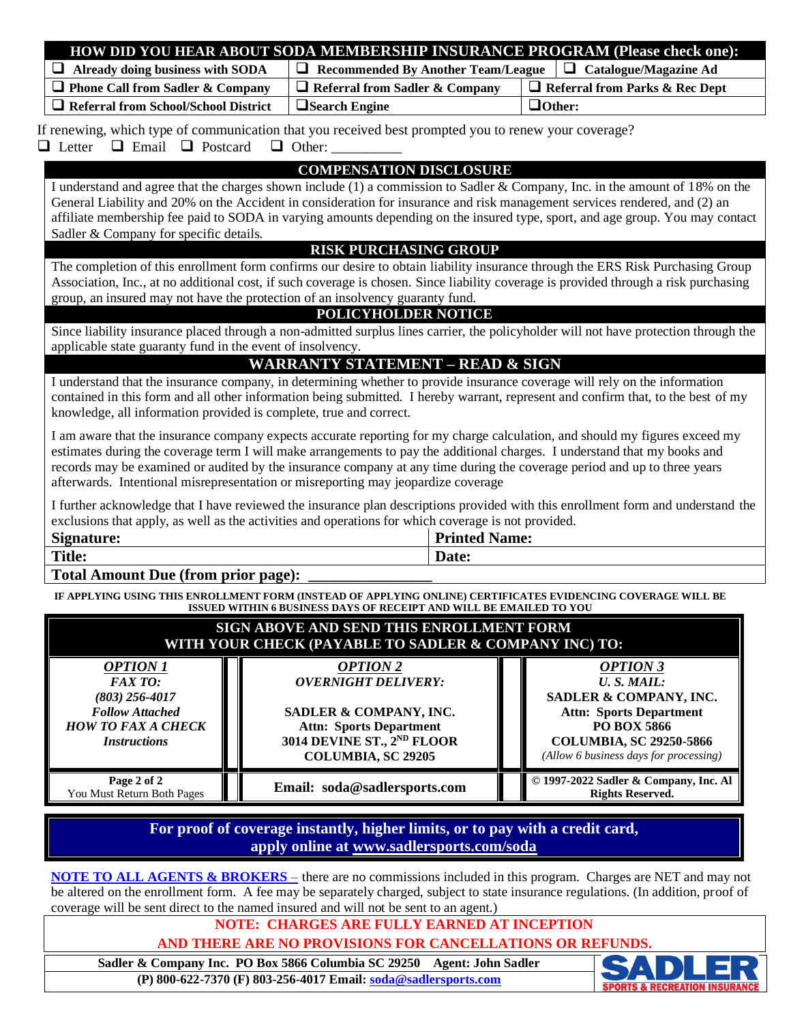|                                                                                                                                                                                                                                                                                                                                                                                                                                                                         |                                                                                                           |       | HOW DID YOU HEAR ABOUT SODA MEMBERSHIP INSURANCE PROGRAM (Please check one):                                                                                                                                                                                                                                                                                                         |  |  |  |
|-------------------------------------------------------------------------------------------------------------------------------------------------------------------------------------------------------------------------------------------------------------------------------------------------------------------------------------------------------------------------------------------------------------------------------------------------------------------------|-----------------------------------------------------------------------------------------------------------|-------|--------------------------------------------------------------------------------------------------------------------------------------------------------------------------------------------------------------------------------------------------------------------------------------------------------------------------------------------------------------------------------------|--|--|--|
| $\Box$ Already doing business with SODA                                                                                                                                                                                                                                                                                                                                                                                                                                 | Recommended By Another Team/League                                                                        |       | $\Box$ Catalogue/Magazine Ad                                                                                                                                                                                                                                                                                                                                                         |  |  |  |
| $\Box$ Phone Call from Sadler & Company                                                                                                                                                                                                                                                                                                                                                                                                                                 | $\Box$ Referral from Sadler & Company                                                                     |       | $\Box$ Referral from Parks & Rec Dept                                                                                                                                                                                                                                                                                                                                                |  |  |  |
| Referral from School/School District                                                                                                                                                                                                                                                                                                                                                                                                                                    | $\Box$ Search Engine                                                                                      |       | $\Box$ Other:                                                                                                                                                                                                                                                                                                                                                                        |  |  |  |
| If renewing, which type of communication that you received best prompted you to renew your coverage?<br>$\Box$ Email $\Box$ Postcard<br>$\Box$ Other:<br>$\Box$ Letter                                                                                                                                                                                                                                                                                                  |                                                                                                           |       |                                                                                                                                                                                                                                                                                                                                                                                      |  |  |  |
| <b>COMPENSATION DISCLOSURE</b><br>I understand and agree that the charges shown include (1) a commission to Sadler & Company, Inc. in the amount of 18% on the<br>General Liability and 20% on the Accident in consideration for insurance and risk management services rendered, and (2) an<br>affiliate membership fee paid to SODA in varying amounts depending on the insured type, sport, and age group. You may contact<br>Sadler & Company for specific details. |                                                                                                           |       |                                                                                                                                                                                                                                                                                                                                                                                      |  |  |  |
|                                                                                                                                                                                                                                                                                                                                                                                                                                                                         | <b>RISK PURCHASING GROUP</b>                                                                              |       |                                                                                                                                                                                                                                                                                                                                                                                      |  |  |  |
| group, an insured may not have the protection of an insolvency guaranty fund.                                                                                                                                                                                                                                                                                                                                                                                           | POLICYHOLDER NOTICE                                                                                       |       | The completion of this enrollment form confirms our desire to obtain liability insurance through the ERS Risk Purchasing Group<br>Association, Inc., at no additional cost, if such coverage is chosen. Since liability coverage is provided through a risk purchasing                                                                                                               |  |  |  |
| applicable state guaranty fund in the event of insolvency.                                                                                                                                                                                                                                                                                                                                                                                                              |                                                                                                           |       | Since liability insurance placed through a non-admitted surplus lines carrier, the policyholder will not have protection through the                                                                                                                                                                                                                                                 |  |  |  |
|                                                                                                                                                                                                                                                                                                                                                                                                                                                                         | <b>WARRANTY STATEMENT - READ &amp; SIGN</b>                                                               |       |                                                                                                                                                                                                                                                                                                                                                                                      |  |  |  |
| knowledge, all information provided is complete, true and correct.                                                                                                                                                                                                                                                                                                                                                                                                      |                                                                                                           |       | I understand that the insurance company, in determining whether to provide insurance coverage will rely on the information<br>contained in this form and all other information being submitted. I hereby warrant, represent and confirm that, to the best of my                                                                                                                      |  |  |  |
| afterwards. Intentional misrepresentation or misreporting may jeopardize coverage                                                                                                                                                                                                                                                                                                                                                                                       |                                                                                                           |       | I am aware that the insurance company expects accurate reporting for my charge calculation, and should my figures exceed my<br>estimates during the coverage term I will make arrangements to pay the additional charges. I understand that my books and<br>records may be examined or audited by the insurance company at any time during the coverage period and up to three years |  |  |  |
| I further acknowledge that I have reviewed the insurance plan descriptions provided with this enrollment form and understand the<br>exclusions that apply, as well as the activities and operations for which coverage is not provided.<br><b>Printed Name:</b><br><b>Signature:</b>                                                                                                                                                                                    |                                                                                                           |       |                                                                                                                                                                                                                                                                                                                                                                                      |  |  |  |
| <b>Title:</b>                                                                                                                                                                                                                                                                                                                                                                                                                                                           |                                                                                                           | Date: |                                                                                                                                                                                                                                                                                                                                                                                      |  |  |  |
| <b>Total Amount Due (from prior page):</b>                                                                                                                                                                                                                                                                                                                                                                                                                              |                                                                                                           |       |                                                                                                                                                                                                                                                                                                                                                                                      |  |  |  |
| IF APPLYING USING THIS ENROLLMENT FORM (INSTEAD OF APPLYING ONLINE) CERTIFICATES EVIDENCING COVERAGE WILL BE<br>ISSUED WITHIN 6 BUSINESS DAYS OF RECEIPT AND WILL BE EMAILED TO YOU                                                                                                                                                                                                                                                                                     |                                                                                                           |       |                                                                                                                                                                                                                                                                                                                                                                                      |  |  |  |
| SIGN ABOVE AND SEND THIS ENROLLMENT FORM<br>WITH YOUR CHECK (PAYABLE TO SADLER & COMPANY INC) TO:                                                                                                                                                                                                                                                                                                                                                                       |                                                                                                           |       |                                                                                                                                                                                                                                                                                                                                                                                      |  |  |  |
| <b>OPTION 1</b><br><b>FAXTO:</b><br>$(803)$ 256-4017<br><b>Follow Attached</b><br><b>HOW TO FAX A CHECK</b>                                                                                                                                                                                                                                                                                                                                                             | <b>OPTION 2</b><br><b>OVERNIGHT DELIVERY:</b><br>SADLER & COMPANY, INC.<br><b>Attn: Sports Department</b> |       | <b>OPTION 3</b><br>U.S. MAIL:<br>SADLER & COMPANY, INC.<br><b>Attn: Sports Department</b><br>PO BOX 5866                                                                                                                                                                                                                                                                             |  |  |  |

*Instructions* **Page 2 of 2** You Must Return Both Pages **Email: soda@sadlersports.com COMUST 2022** Sadler & Company, Inc. Al **Rights Reserved.** 

**3014 DEVINE ST., 2ND FLOOR COLUMBIA, SC 29205**

**For proof of coverage instantly, higher limits, or to pay with a credit card, apply online at www.sadlersports.com/soda**

**NOTE TO ALL AGENTS & BROKERS** – there are no commissions included in this program. Charges are NET and may not be altered on the enrollment form. A fee may be separately charged, subject to state insurance regulations. (In addition, proof of coverage will be sent direct to the named insured and will not be sent to an agent.)

#### **NOTE: CHARGES ARE FULLY EARNED AT INCEPTION**

**AND THERE ARE NO PROVISIONS FOR CANCELLATIONS OR REFUNDS.**

**Sadler & Company Inc. PO Box 5866 Columbia SC 29250 Agent: John Sadler (P) 800-622-7370 (F) 803-256-4017 Email: [soda@sadlersports.com](mailto:soda@sadlersports.com)**



**COLUMBIA, SC 29250-5866** *(Allow 6 business days for processing)*

**Rights Reserved.**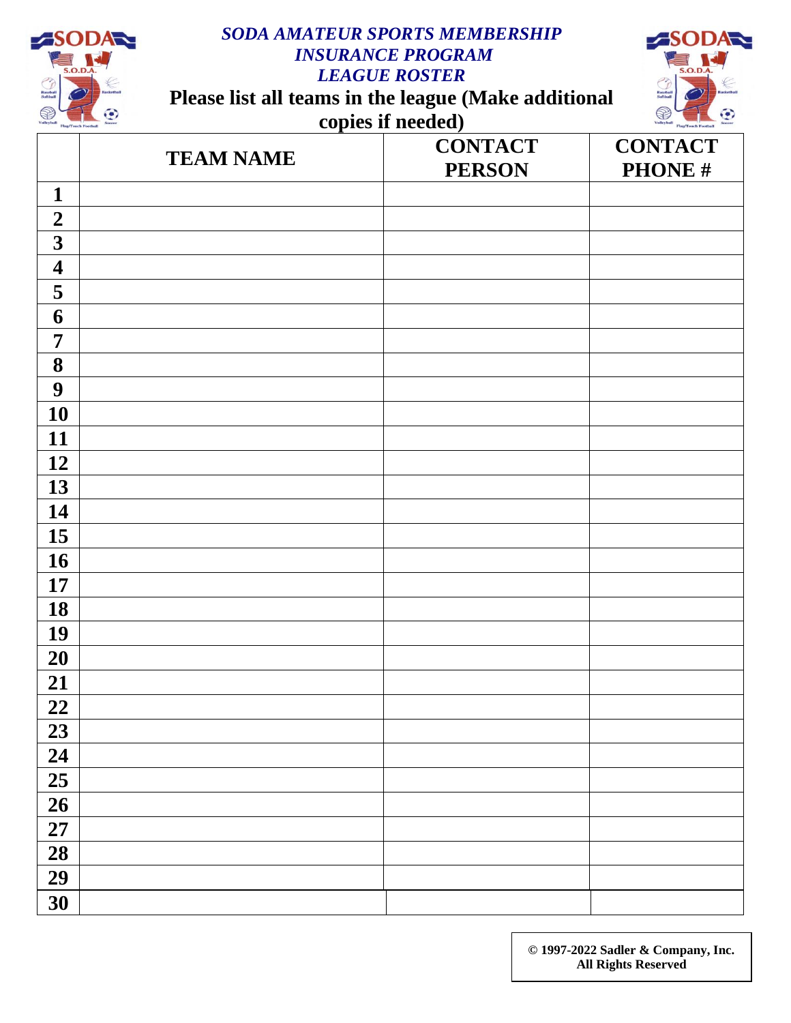

## *SODA AMATEUR SPORTS MEMBERSHIP INSURANCE PROGRAM LEAGUE ROSTER*

**Please list all teams in the league (Make additional** 





|                         | <b>TEAM NAME</b> | <b>CONTACT</b><br><b>PERSON</b> | <b>CONTACT</b><br><b>PHONE#</b> |
|-------------------------|------------------|---------------------------------|---------------------------------|
| $\mathbf{1}$            |                  |                                 |                                 |
| $\boldsymbol{2}$        |                  |                                 |                                 |
| $\overline{\mathbf{3}}$ |                  |                                 |                                 |
| $\overline{\mathbf{4}}$ |                  |                                 |                                 |
| 5                       |                  |                                 |                                 |
| 6                       |                  |                                 |                                 |
| $\overline{7}$          |                  |                                 |                                 |
| 8                       |                  |                                 |                                 |
| $\boldsymbol{9}$        |                  |                                 |                                 |
| <b>10</b>               |                  |                                 |                                 |
| 11                      |                  |                                 |                                 |
| 12                      |                  |                                 |                                 |
| 13                      |                  |                                 |                                 |
| 14                      |                  |                                 |                                 |
| 15                      |                  |                                 |                                 |
| <b>16</b>               |                  |                                 |                                 |
| 17                      |                  |                                 |                                 |
| 18                      |                  |                                 |                                 |
| 19                      |                  |                                 |                                 |
| 20                      |                  |                                 |                                 |
| 21                      |                  |                                 |                                 |
| 22                      |                  |                                 |                                 |
| 23                      |                  |                                 |                                 |
| 24                      |                  |                                 |                                 |
| $\overline{25}$         |                  |                                 |                                 |
| $\overline{26}$         |                  |                                 |                                 |
| $\overline{27}$         |                  |                                 |                                 |
| $\overline{28}$         |                  |                                 |                                 |
| $\overline{29}$         |                  |                                 |                                 |
| 30                      |                  |                                 |                                 |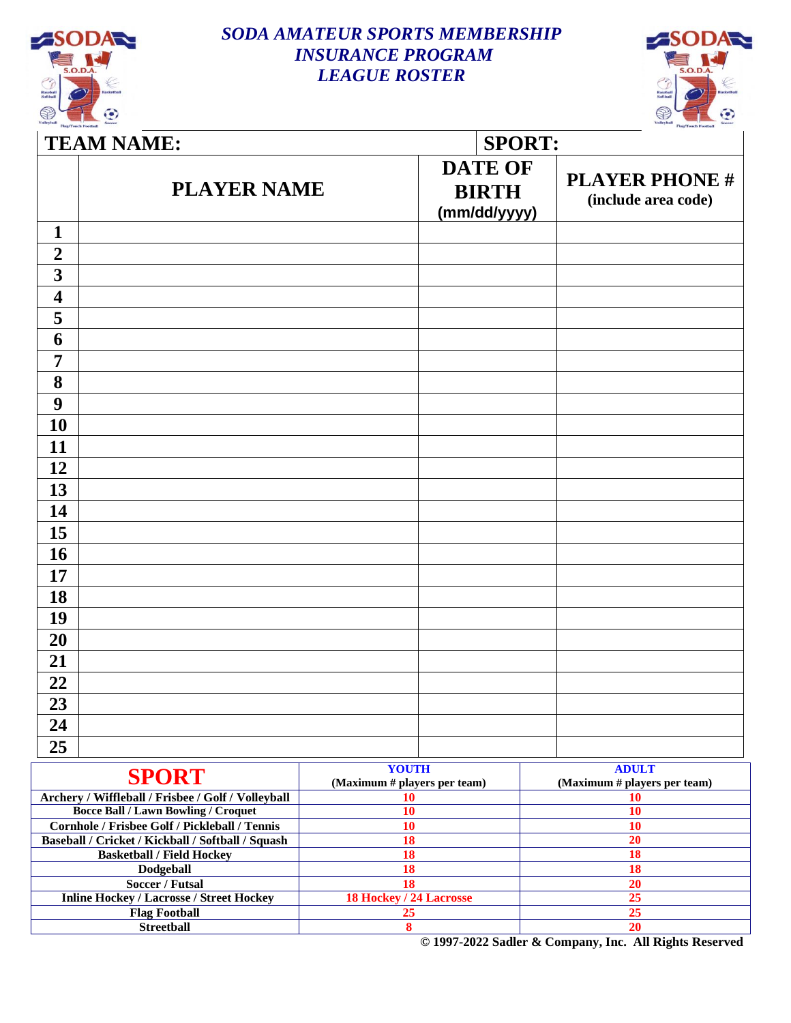

### *SODA AMATEUR SPORTS MEMBERSHIP INSURANCE PROGRAM LEAGUE ROSTER*



| <b>TEAM NAME:</b>  |  |  | <b>SPORT:</b>                                  |  |  |  |
|--------------------|--|--|------------------------------------------------|--|--|--|
| <b>PLAYER NAME</b> |  |  | <b>PLAYER PHONE#</b><br>(include area code)    |  |  |  |
|                    |  |  |                                                |  |  |  |
|                    |  |  |                                                |  |  |  |
|                    |  |  |                                                |  |  |  |
|                    |  |  |                                                |  |  |  |
|                    |  |  |                                                |  |  |  |
|                    |  |  |                                                |  |  |  |
|                    |  |  |                                                |  |  |  |
|                    |  |  |                                                |  |  |  |
|                    |  |  |                                                |  |  |  |
|                    |  |  |                                                |  |  |  |
|                    |  |  |                                                |  |  |  |
|                    |  |  |                                                |  |  |  |
|                    |  |  |                                                |  |  |  |
|                    |  |  |                                                |  |  |  |
|                    |  |  |                                                |  |  |  |
|                    |  |  |                                                |  |  |  |
|                    |  |  |                                                |  |  |  |
|                    |  |  |                                                |  |  |  |
|                    |  |  |                                                |  |  |  |
|                    |  |  |                                                |  |  |  |
|                    |  |  |                                                |  |  |  |
|                    |  |  |                                                |  |  |  |
|                    |  |  |                                                |  |  |  |
|                    |  |  |                                                |  |  |  |
|                    |  |  |                                                |  |  |  |
|                    |  |  | <b>DATE OF</b><br><b>BIRTH</b><br>(mm/dd/yyyy) |  |  |  |

| <b>SPORT</b>                                       | <b>YOUTH</b>                   | <b>ADULT</b>                 |
|----------------------------------------------------|--------------------------------|------------------------------|
|                                                    | (Maximum # players per team)   | (Maximum # players per team) |
| Archery / Wiffleball / Frisbee / Golf / Volleyball |                                |                              |
| <b>Bocce Ball / Lawn Bowling / Croquet</b>         |                                |                              |
| Cornhole / Frisbee Golf / Pickleball / Tennis      | 10                             | 10                           |
| Baseball / Cricket / Kickball / Softball / Squash  | 18                             |                              |
| <b>Basketball / Field Hockey</b>                   | 18                             |                              |
| Dodgeball                                          |                                |                              |
| Soccer / Futsal                                    | 18                             | 20                           |
| <b>Inline Hockey / Lacrosse / Street Hockey</b>    | <b>18 Hockey / 24 Lacrosse</b> | 25                           |
| <b>Flag Football</b>                               |                                |                              |
| <b>Streetball</b>                                  |                                |                              |

**© 1997-2022 Sadler & Company, Inc. All Rights Reserved**